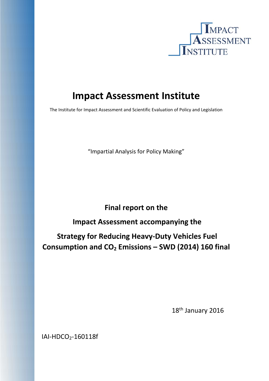

# **Impact Assessment Institute**

The Institute for Impact Assessment and Scientific Evaluation of Policy and Legislation

"Impartial Analysis for Policy Making"

**Final report on the**

**Impact Assessment accompanying the**

**Strategy for Reducing Heavy‐Duty Vehicles Fuel Consumption and CO2 Emissions – SWD (2014) 160 final**

 18th January 2016

IAI-HDCO<sub>2</sub>-160118f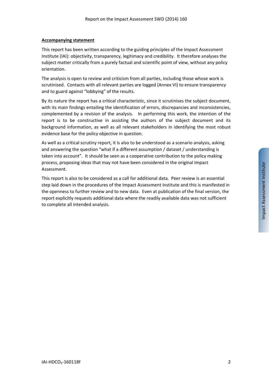#### **Accompanying statement**

This report has been written according to the guiding principles of the Impact Assessment Institute (IAI): objectivity, transparency, legitimacy and credibility. It therefore analyses the subject matter critically from a purely factual and scientific point of view, without any policy orientation.

The analysis is open to review and criticism from all parties, including those whose work is scrutinised. Contacts with all relevant parties are logged (Annex VI) to ensure transparency and to guard against "lobbying" of the results.

By its nature the report has a critical characteristic, since it scrutinises the subject document, with its main findings entailing the identification of errors, discrepancies and inconsistencies, complemented by a revision of the analysis. In performing this work, the intention of the report is to be constructive in assisting the authors of the subject document and its background information, as well as all relevant stakeholders in identifying the most robust evidence base for the policy objective in question.

As well as a critical scrutiny report, it is also to be understood as a scenario analysis, asking and answering the question "what if a different assumption / dataset / understanding is taken into account". It should be seen as a cooperative contribution to the policy making process, proposing ideas that may not have been considered in the original Impact Assessment.

This report is also to be considered as a call for additional data. Peer review is an essential step laid down in the procedures of the Impact Assessment Institute and this is manifested in the openness to further review and to new data. Even at publication of the final version, the report explicitly requests additional data where the readily available data was not sufficient to complete all intended analysis.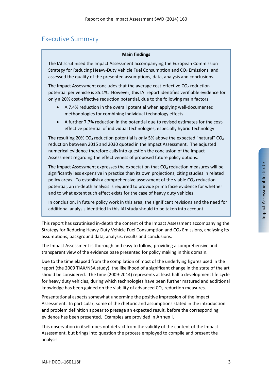# Executive Summary

### **Main findings**

The IAI scrutinised the Impact Assessment accompanying the European Commission Strategy for Reducing Heavy-Duty Vehicle Fuel Consumption and CO<sub>2</sub> Emissions, and assessed the quality of the presented assumptions, data, analysis and conclusions.

The Impact Assessment concludes that the average cost-effective  $CO<sub>2</sub>$  reduction potential per vehicle is 35.1%. However, this IAI report identifies verifiable evidence for only a 20% cost‐effective reduction potential, due to the following main factors:

- A 7.4% reduction in the overall potential when applying well-documented methodologies for combining individual technology effects
- A further 7.7% reduction in the potential due to revised estimates for the cost‐ effective potential of individual technologies, especially hybrid technology

The resulting 20% CO<sub>2</sub> reduction potential is only 5% above the expected "natural" CO<sub>2</sub> reduction between 2015 and 2030 quoted in the Impact Assessment. The adjusted numerical evidence therefore calls into question the conclusion of the Impact Assessment regarding the effectiveness of proposed future policy options.

The Impact Assessment expresses the expectation that  $CO<sub>2</sub>$  reduction measures will be significantly less expensive in practice than its own projections, citing studies in related policy areas. To establish a comprehensive assessment of the viable  $CO<sub>2</sub>$  reduction potential, an in‐depth analysis is required to provide prima facie evidence for whether and to what extent such effect exists for the case of heavy duty vehicles.

In conclusion, in future policy work in this area, the significant revisions and the need for additional analysis identified in this IAI study should to be taken into account.

This report has scrutinised in‐depth the content of the Impact Assessment accompanying the Strategy for Reducing Heavy-Duty Vehicle Fuel Consumption and  $CO<sub>2</sub>$  Emissions, analysing its assumptions, background data, analysis, results and conclusions.

The Impact Assessment is thorough and easy to follow, providing a comprehensive and transparent view of the evidence base presented for policy making in this domain.

Due to the time elapsed from the compilation of most of the underlying figures used in the report (the 2009 TIAX/NSA study), the likelihood of a significant change in the state of the art should be considered. The time (2009‐2014) represents at least half a development life cycle for heavy duty vehicles, during which technologies have been further matured and additional knowledge has been gained on the viability of advanced  $CO<sub>2</sub>$  reduction measures.

Presentational aspects somewhat undermine the positive impression of the Impact Assessment. In particular, some of the rhetoric and assumptions stated in the introduction and problem definition appear to presage an expected result, before the corresponding evidence has been presented. Examples are provided in Annex I.

This observation in itself does not detract from the validity of the content of the Impact Assessment, but brings into question the process employed to compile and present the analysis.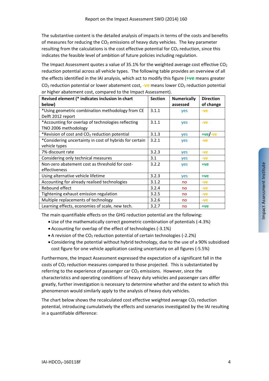The substantive content is the detailed analysis of impacts in terms of the costs and benefits of measures for reducing the  $CO<sub>2</sub>$  emissions of heavy duty vehicles. The key parameter resulting from the calculations is the cost effective potential for  $CO<sub>2</sub>$  reduction, since this indicates the feasible level of ambition of future policies including regulation.

The Impact Assessment quotes a value of 35.1% for the weighted average cost effective  $CO<sub>2</sub>$ reduction potential across all vehicle types. The following table provides an overview of all the effects identified in the IAI analysis, which act to modify this figure (**+ve** means greater CO2 reduction potential or lower abatement cost, **‐ve** means lower CO2 reduction potential or higher abatement cost, compared to the Impact Assessment).

| Revised element (* indicates inclusion in chart<br>below) | <b>Section</b> | <b>Numerically</b><br>assessed | <b>Direction</b><br>of change |
|-----------------------------------------------------------|----------------|--------------------------------|-------------------------------|
| *Using geometric combination methodology from CE          | 3.1.1          | yes                            | $-ve$                         |
| Delft 2012 report                                         |                |                                |                               |
| *Accounting for overlap of technologies reflecting        | 3.1.1          | yes                            | $-ve$                         |
| TNO 2006 methodology                                      |                |                                |                               |
| *Revision of cost and CO <sub>2</sub> reduction potential | 3.1.3          | yes                            | $+ve/-ve$                     |
| *Considering uncertainty in cost of hybrids for certain   | 3.2.1          | yes                            | $-ve$                         |
| vehicle types                                             |                |                                |                               |
| 7% discount rate                                          | 3.2.3          | yes                            | $-ve$                         |
| Considering only technical measures                       | 3.1            | yes                            | $-ve$                         |
| Non-zero abatement cost as threshold for cost-            | 3.2.2          | yes                            | $+ve$                         |
| effectiveness                                             |                |                                |                               |
| Using alternative vehicle lifetime                        | 3.2.3          | yes                            | $+ve$                         |
| Accounting for already realised technologies              | 3.1.2          | no                             | -ve                           |
| Rebound effect                                            | 3.2.4          | no                             | $-ve$                         |
| Tightening exhaust emission regulation                    | 3.2.5          | no                             | $-ve$                         |
| Multiple replacements of technology                       | 3.2.6          | no                             | $-ve$                         |
| Learning effects, economies of scale, new tech.           | 3.2.7          | no                             | +ve                           |

The main quantifiable effects on the GHG reduction potential are the following:

- Use of the mathematically correct geometric combination of potentials (‐4.3%)
- Accounting for overlap of the effect of technologies (‐3.1%)
- A revision of the  $CO<sub>2</sub>$  reduction potential of certain technologies (-2.2%)
- Considering the potential without hybrid technology, due to the use of a 90% subsidised cost figure for one vehicle application casting uncertainty on all figures (‐5.5%)

Furthermore, the Impact Assessment expressed the expectation of a significant fall in the costs of CO2 reduction measures compared to those projected. This is substantiated by referring to the experience of passenger car  $CO<sub>2</sub>$  emissions. However, since the characteristics and operating conditions of heavy duty vehicles and passenger cars differ greatly, further investigation is necessary to determine whether and the extent to which this phenomenon would similarly apply to the analysis of heavy duty vehicles.

The chart below shows the recalculated cost effective weighted average  $CO<sub>2</sub>$  reduction potential, introducing cumulatively the effects and scenarios investigated by the IAI resulting in a quantifiable difference: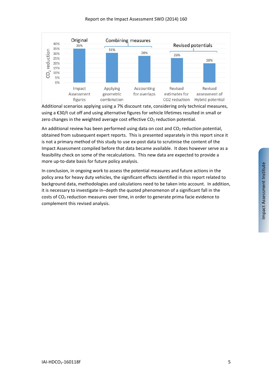

Additional scenarios applying using a 7% discount rate, considering only technical measures, using a €30/t cut off and using alternative figures for vehicle lifetimes resulted in small or zero changes in the weighted average cost effective  $CO<sub>2</sub>$  reduction potential.

An additional review has been performed using data on cost and  $CO<sub>2</sub>$  reduction potential, obtained from subsequent expert reports. This is presented separately in this report since it is not a primary method of this study to use ex-post data to scrutinise the content of the Impact Assessment compiled before that data became available. It does however serve as a feasibility check on some of the recalculations. This new data are expected to provide a more up-to-date basis for future policy analysis.

In conclusion, in ongoing work to assess the potential measures and future actions in the policy area for heavy duty vehicles, the significant effects identified in this report related to background data, methodologies and calculations need to be taken into account. In addition, it is necessary to investigate in–depth the quoted phenomenon of a significant fall in the costs of CO2 reduction measures over time, in order to generate prima facie evidence to complement this revised analysis.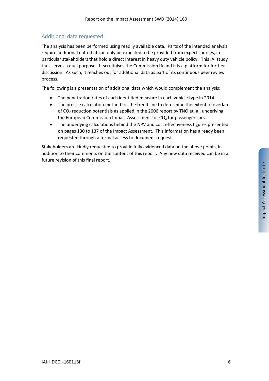# Additional data requested

The analysis has been performed using readily available data. Parts of the intended analysis require additional data that can only be expected to be provided from expert sources, in particular stakeholders that hold a direct interest in heavy duty vehicle policy. This IAI study thus serves a dual purpose. It scrutinises the Commission IA and it is a platform for further discussion. As such, it reaches out for additional data as part of its continuous peer review process.

The following is a presentation of additional data which would complement the analysis:

- The penetration rates of each identified measure in each vehicle type in 2014.
- The precise calculation method for the trend line to determine the extent of overlap of CO2 reduction potentials as applied in the 2006 report by TNO et. al. underlying the European Commission Impact Assessment for  $CO<sub>2</sub>$  for passenger cars.
- The underlying calculations behind the NPV and cost effectiveness figures presented on pages 130 to 137 of the Impact Assessment. This information has already been requested through a formal access to document request.

Stakeholders are kindly requested to provide fully evidenced data on the above points, in addition to their comments on the content of this report. Any new data received can be in a future revision of this final report.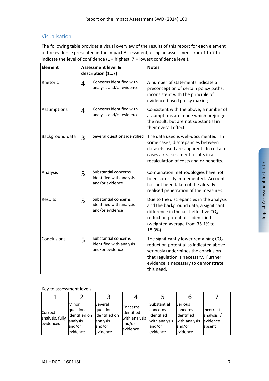# Visualisation

The following table provides a visual overview of the results of this report for each element of the evidence presented in the Impact Assessment, using an assessment from 1 to 7 to indicate the level of confidence  $(1 =$  highest,  $7 =$  lowest confidence level).

| <b>Element</b>  | <b>Assessment level &amp;</b><br>description (17) |                                                                     | <b>Notes</b>                                                                                                                                                                                                             |
|-----------------|---------------------------------------------------|---------------------------------------------------------------------|--------------------------------------------------------------------------------------------------------------------------------------------------------------------------------------------------------------------------|
| Rhetoric        | 4                                                 | Concerns identified with<br>analysis and/or evidence                | A number of statements indicate a<br>preconception of certain policy paths,<br>inconsistent with the principle of<br>evidence-based policy making                                                                        |
| Assumptions     | 4                                                 | Concerns identified with<br>analysis and/or evidence                | Consistent with the above, a number of<br>assumptions are made which prejudge<br>the result, but are not substantial in<br>their overall effect                                                                          |
| Background data | 3                                                 | Several questions identified                                        | The data used is well-documented. In<br>some cases, discrepancies between<br>datasets used are apparent. In certain<br>cases a reassessment results in a<br>recalculation of costs and or benefits.                      |
| Analysis        | 5                                                 | Substantial concerns<br>identified with analysis<br>and/or evidence | Combination methodologies have not<br>been correctly implemented. Account<br>has not been taken of the already<br>realised penetration of the measures.                                                                  |
| Results         | 5                                                 | Substantial concerns<br>identified with analysis<br>and/or evidence | Due to the discrepancies in the analysis<br>and the background data, a significant<br>difference in the cost-effective CO <sub>2</sub><br>reduction potential is identified<br>(weighted average from 35.1% to<br>18.3%) |
| Conclusions     | 5                                                 | Substantial concerns<br>identified with analysis<br>and/or evidence | The significantly lower remaining $CO2$<br>reduction potential as indicated above<br>seriously undermines the conclusion<br>that regulation is necessary. Further<br>evidence is necessary to demonstrate<br>this need.  |

### Key to assessment levels

| Correct<br>analysis, fully<br>evidenced | Minor<br>questions<br>identified on<br>analysis<br>and/or<br>evidence | Several<br>questions<br>lidentified on<br>analysis<br>and/or<br>evidence | <b>Concerns</b><br>identified<br>with analysis<br>and/or<br>evidence | Substantial<br>concerns<br>lidentified<br>with analysis<br>and/or<br>evidence | Serious<br>concerns<br>lidentified<br>with analysis<br>and/or<br>evidence | Incorrect<br>analysis $/$<br>evidence<br>absent |
|-----------------------------------------|-----------------------------------------------------------------------|--------------------------------------------------------------------------|----------------------------------------------------------------------|-------------------------------------------------------------------------------|---------------------------------------------------------------------------|-------------------------------------------------|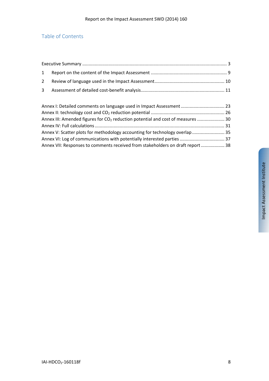# Table of Contents

| $\mathbf{1}$ |                                                                                             |  |
|--------------|---------------------------------------------------------------------------------------------|--|
| $2^{\circ}$  |                                                                                             |  |
| $\mathbf{3}$ |                                                                                             |  |
|              |                                                                                             |  |
|              | Annex I: Detailed comments on language used in Impact Assessment  23                        |  |
|              |                                                                                             |  |
|              | Annex III: Amended figures for CO <sub>2</sub> reduction potential and cost of measures  30 |  |
|              |                                                                                             |  |
|              | Annex V: Scatter plots for methodology accounting for technology overlap  35                |  |
|              |                                                                                             |  |
|              | Annex VII: Responses to comments received from stakeholders on draft report  38             |  |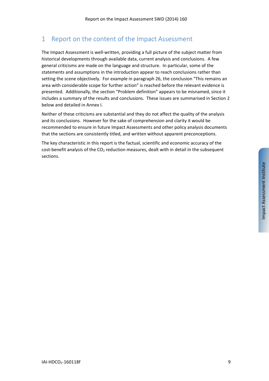# 1 Report on the content of the Impact Assessment

The Impact Assessment is well-written, providing a full picture of the subject matter from historical developments through available data, current analysis and conclusions. A few general criticisms are made on the language and structure. In particular, some of the statements and assumptions in the introduction appear to reach conclusions rather than setting the scene objectively. For example in paragraph 26, the conclusion "This remains an area with considerable scope for further action" is reached before the relevant evidence is presented. Additionally, the section "Problem definition" appears to be misnamed, since it includes a summary of the results and conclusions. These issues are summarised in Section 2 below and detailed in Annex I.

Neither of these criticisms are substantial and they do not affect the quality of the analysis and its conclusions. However for the sake of comprehension and clarity it would be recommended to ensure in future Impact Assessments and other policy analysis documents that the sections are consistently titled, and written without apparent preconceptions.

The key characteristic in this report is the factual, scientific and economic accuracy of the cost-benefit analysis of the  $CO<sub>2</sub>$  reduction measures, dealt with in detail in the subsequent sections.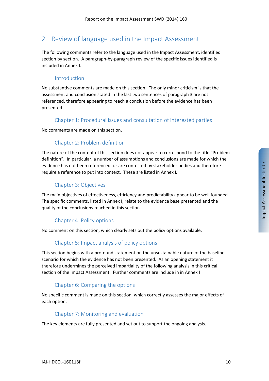# 2 Review of language used in the Impact Assessment

The following comments refer to the language used in the Impact Assessment, identified section by section. A paragraph-by-paragraph review of the specific issues identified is included in Annex I.

# Introduction

No substantive comments are made on this section. The only minor criticism is that the assessment and conclusion stated in the last two sentences of paragraph 3 are not referenced, therefore appearing to reach a conclusion before the evidence has been presented.

## Chapter 1: Procedural issues and consultation of interested parties

No comments are made on this section.

# Chapter 2: Problem definition

The nature of the content of this section does not appear to correspond to the title "Problem definition". In particular, a number of assumptions and conclusions are made for which the evidence has not been referenced, or are contested by stakeholder bodies and therefore require a reference to put into context. These are listed in Annex I.

## Chapter 3: Objectives

The main objectives of effectiveness, efficiency and predictability appear to be well founded. The specific comments, listed in Annex I, relate to the evidence base presented and the quality of the conclusions reached in this section.

# Chapter 4: Policy options

No comment on this section, which clearly sets out the policy options available.

# Chapter 5: Impact analysis of policy options

This section begins with a profound statement on the unsustainable nature of the baseline scenario for which the evidence has not been presented. As an opening statement it therefore undermines the perceived impartiality of the following analysis in this critical section of the Impact Assessment. Further comments are include in in Annex I

# Chapter 6: Comparing the options

No specific comment is made on this section, which correctly assesses the major effects of each option.

## Chapter 7: Monitoring and evaluation

The key elements are fully presented and set out to support the ongoing analysis.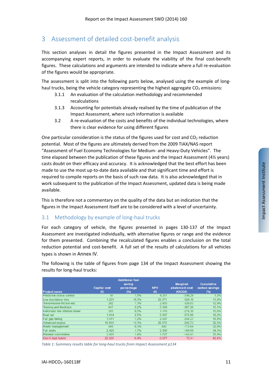# 3 Assessment of detailed cost-benefit analysis

This section analyses in detail the figures presented in the Impact Assessment and its accompanying expert reports, in order to evaluate the viability of the final cost‐benefit figures. These calculations and arguments are intended to indicate where a full re‐evaluation of the figures would be appropriate.

The assessment is split into the following parts below, analysed using the example of longhaul trucks, being the vehicle category representing the highest aggregate  $CO<sub>2</sub>$  emissions:

- 3.1.1 An evaluation of the calculation methodology and recommended recalculations
- 3.1.3 Accounting for potentials already realised by the time of publication of the Impact Assessment, where such information is available
- 3.2 A re‐evaluation of the costs and benefits of the individual technologies, where there is clear evidence for using different figures

One particular consideration is the status of the figures used for cost and  $CO<sub>2</sub>$  reduction potential. Most of the figures are ultimately derived from the 2009 TIAX/NAS report "Assessment of Fuel Economy Technologies for Medium‐ and Heavy‐Duty Vehicles". The time elapsed between the publication of these figures and the Impact Assessment (4½ years) casts doubt on their efficacy and accuracy. It is acknowledged that the best effort has been made to use the most up-to-date data available and that significant time and effort is required to compile reports on the basis of such raw data. It is also acknowledged that in work subsequent to the publication of the Impact Assessment, updated data is being made available.

This is therefore not a commentary on the quality of the data but an indication that the figures in the Impact Assessment itself are to be considered with a level of uncertainty.

# 3.1 Methodology by example of long-haul trucks

For each category of vehicle, the figures presented in pages 130‐137 of the Impact Assessment are investigated individually, with alternative figures or range and the evidence for them presented. Combining the recalculated figures enables a conclusion on the total reduction potential and cost-benefit. A full set of the results of calculations for all vehicles types is shown in Annex IV.

The following is the table of figures from page 134 of the Impact Assessment showing the results for long‐haul trucks:

|                                  |                                     | <b>Additional fuel</b>         |                   |                                               |                                               |
|----------------------------------|-------------------------------------|--------------------------------|-------------------|-----------------------------------------------|-----------------------------------------------|
| <b>Project name</b>              | <b>Capital</b> cost<br>$(\epsilon)$ | saving<br>percentage<br>$(\%)$ | <b>NPV</b><br>(E) | <b>Marginal</b><br>abatement cost<br>(E/1CO2) | <b>Cumulative</b><br>carbon savings<br>$(\%)$ |
| Predictive cruise control        | 81                                  | 1,5%                           | 4.217             | $-336.29$                                     | 1,5%                                          |
| Low resistance tires             | 1.261                               | 10.3%                          | 28.371            | $-328.16$                                     | 11.8%                                         |
| Transmission friction red.       | 202                                 | 1,1%                           | 2.955             | $-320.83$                                     | 12,9%                                         |
| Training and feedback            | 647                                 | 2.2%                           | 5.589             | $-307,20$                                     | 15, 1%                                        |
| Automatic tire inflation trailer | 283                                 | 0.5%                           | 1.176             | $-276.30$                                     | 15,6%                                         |
| Boat tail                        | 1.414                               | 2,5%                           | 5.837             | $-275.90$                                     | 18,2%                                         |
| Full gap fairing                 | 1.011                               | 1.2%                           | 2.507             | $-244.27$                                     | 19,4%                                         |
| Advanced engine                  | 10.953                              | 13.1%                          | 26,578            | $-242.73$                                     | 32,5%                                         |
| Route management                 | 485                                 | 0.3%                           | 492               | $-172.64$                                     | 32,8%                                         |
| <b>Full skirts</b>               | 2.425                               | 1.7%                           | 2.386             | $-169.99$                                     | 34,5%                                         |
| Material substitution            | 2.401                               | 1.4%                           | 1.727             | $-143.41$                                     | 35,9%                                         |
| Gen II dual hybrid               | 22.228                              | 6.4%                           | $-3.877$          | 72.41                                         | 42.4%                                         |

*Table 1: Summary results table for long‐haul trucks from Impact Assessment p134*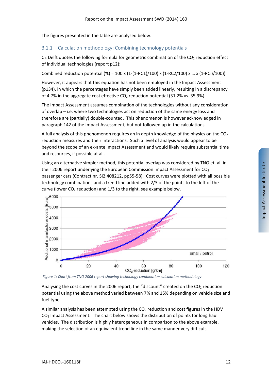The figures presented in the table are analysed below.

# 3.1.1 Calculation methodology: Combining technology potentials

CE Delft quotes the following formula for geometric combination of the  $CO<sub>2</sub>$  reduction effect of individual technologies (report p12):

Combined reduction potential (%) =  $100 \times (1-(1-RC1)/100) \times (1-RC2/100) \times ... \times (1-RC1)/100)$ 

However, it appears that this equation has not been employed in the Impact Assessment (p134), in which the percentages have simply been added linearly, resulting in a discrepancy of 4.7% in the aggregate cost effective  $CO<sub>2</sub>$  reduction potential (31.2% vs. 35.9%).

The Impact Assessment assumes combination of the technologies without any consideration of overlap – i.e. where two technologies act on reduction of the same energy loss and therefore are (partially) double‐counted. This phenomenon is however acknowledged in paragraph 142 of the Impact Assessment, but not followed up in the calculations.

A full analysis of this phenomenon requires an in depth knowledge of the physics on the  $CO<sub>2</sub>$ reduction measures and their interactions. Such a level of analysis would appear to be beyond the scope of an ex‐ante Impact Assessment and would likely require substantial time and resources, if possible at all.

Using an alternative simpler method, this potential overlap was considered by TNO et. al. in their 2006 report underlying the European Commission Impact Assessment for CO<sub>2</sub> passenger cars (Contract nr. SI2.408212, pp55‐58). Cost curves were plotted with all possible technology combinations and a trend line added with 2/3 of the points to the left of the curve (lower  $CO<sub>2</sub>$  reduction) and  $1/3$  to the right, see example below.



*Figure 1: Chart from TNO 2006 report showing technology combination calculation methodology*

Analysing the cost curves in the 2006 report, the "discount" created on the  $CO<sub>2</sub>$  reduction potential using the above method varied between 7% and 15% depending on vehicle size and fuel type.

A similar analysis has been attempted using the  $CO<sub>2</sub>$  reduction and cost figures in the HDV  $CO<sub>2</sub>$  Impact Assessment. The chart below shows the distribution of points for long haul vehicles. The distribution is highly heterogeneous in comparison to the above example, making the selection of an equivalent trend line in the same manner very difficult.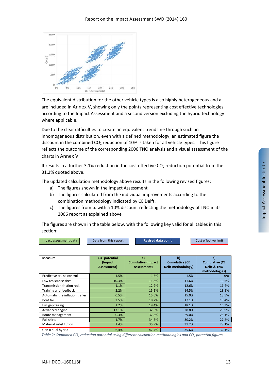

The equivalent distribution for the other vehicle types is also highly heterogeneous and all are included in Annex V, showing only the points representing cost effective technologies according to the Impact Assessment and a second version excluding the hybrid technology where applicable.

Due to the clear difficulties to create an equivalent trend line through such an inhomogeneous distribution, even with a defined methodology, an estimated figure the discount in the combined  $CO<sub>2</sub>$  reduction of 10% is taken for all vehicle types. This figure reflects the outcome of the corresponding 2006 TNO analysis and a visual assessment of the charts in Annex V.

It results in a further 3.1% reduction in the cost effective CO<sub>2</sub> reduction potential from the 31.2% quoted above.

The updated calculation methodology above results in the following revised figures:

- a) The figures shown in the Impact Assessment
- b) The figures calculated from the individual improvements according to the combination methodology indicated by CE Delft.
- c) The figures from b. with a 10% discount reflecting the methodology of TNO in its 2006 report as explained above

The figures are shown in the table below, with the following key valid for all tables in this section:

| Impact assessment data | Data from this report | Revised data point | Cost effective limit |
|------------------------|-----------------------|--------------------|----------------------|

| Measure                          | CO <sub>2</sub> potential<br>(Impact)<br>Assessment) | a)<br><b>Cumulative (Impact</b><br>Assessment) | b)<br><b>Cumulative (CE</b><br>Delft methodology) | C)<br><b>Cumulative (CE</b><br>Delft & TNO<br>methodologies) |
|----------------------------------|------------------------------------------------------|------------------------------------------------|---------------------------------------------------|--------------------------------------------------------------|
| Predictive cruise control        | 1.5%                                                 | 1.5%                                           | 1.5%                                              | n/a                                                          |
| Low resistance tires             | 10.3%                                                | 11.8%                                          | 11.6%                                             | 10.5%                                                        |
| Transmission friction red.       | 1.1%                                                 | 12.9%                                          | 12.6%                                             | 11.4%                                                        |
| Training and feedback            | 2.2%                                                 | 15.1%                                          | 14.5%                                             | 13.1%                                                        |
| Automatic tire inflation trailer | 0.5%                                                 | 15.6%                                          | 15.0%                                             | 13.5%                                                        |
| Boat tail                        | 2.5%                                                 | 18.2%                                          | 17.1%                                             | 15.4%                                                        |
| Full gap fairing                 | 1.2%                                                 | 19.4%                                          | 18.1%                                             | 16.3%                                                        |
| Advanced engine                  | 13.1%                                                | 32.5%                                          | 28.8%                                             | 25.9%                                                        |
| Route management                 | 0.3%                                                 | 32.8%                                          | 29.0%                                             | 26.1%                                                        |
| <b>Full skirts</b>               | 1.7%                                                 | 34.5%                                          | 30.2%                                             | 27.2%                                                        |
| Material substitution            | 1.4%                                                 | 35.9%                                          | 31.2%                                             | 28.1%                                                        |
| Gen II dual hybrid               | 6,4%                                                 | 42.4%                                          | 35.6%                                             | 32.1%                                                        |

*Table 2: Combined CO2 reduction potential using different calculation methodologies and CO2 potential figures*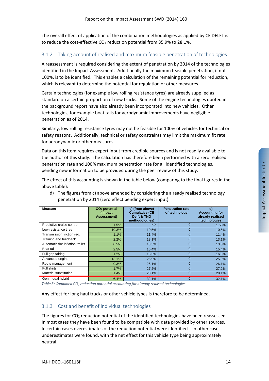The overall effect of application of the combination methodologies as applied by CE DELFT is to reduce the cost-effective CO<sub>2</sub> reduction potential from 35.9% to 28.1%.

# 3.1.2 Taking account of realised and maximum feasible penetration of technologies

A reassessment is required considering the extent of penetration by 2014 of the technologies identified in the Impact Assessment. Additionally the maximum feasible penetration, if not 100%, is to be identified. This enables a calculation of the remaining potential for reduction, which is relevant to determine the potential for regulation or other measures.

Certain technologies (for example low rolling resistance tyres) are already supplied as standard on a certain proportion of new trucks. Some of the engine technologies quoted in the background report have also already been incorporated into new vehicles. Other technologies, for example boat tails for aerodynamic improvements have negligible penetration as of 2014.

Similarly, low rolling resistance tyres may not be feasible for 100% of vehicles for technical or safety reasons. Additionally, technical or safety constraints may limit the maximum fit rate for aerodynamic or other measures.

Data on this item requires expert input from credible sources and is not readily available to the author of this study. The calculation has therefore been performed with a zero realised penetration rate and 100% maximum penetration rate for all identified technologies, pending new information to be provided during the peer review of this study.

The effect of this accounting is shown in the table below (comparing to the final figures in the above table):

| <b>Measure</b>                   | $CO2$ potential<br>(Impact)<br>Assessment) | c) (from above)<br><b>Cumulative (CE</b><br>Delft & TNO<br>methodologies) | <b>Penetration rate</b><br>of technology | $\mathbf{d}$<br><b>Accounting for</b><br>already realised<br>technologies |
|----------------------------------|--------------------------------------------|---------------------------------------------------------------------------|------------------------------------------|---------------------------------------------------------------------------|
| Predictive cruise control        | 1.5%                                       | n/a                                                                       | $\Omega$                                 | 1.50%                                                                     |
| Low resistance tires             | 10.3%                                      | 10.5%                                                                     | $\Omega$                                 | 10.5%                                                                     |
| Transmission friction red.       | 1.1%                                       | 11.4%                                                                     | $\Omega$                                 | 11.4%                                                                     |
| Training and feedback            | 2.2%                                       | 13.1%                                                                     | $\Omega$                                 | 13.1%                                                                     |
| Automatic tire inflation trailer | 0.5%                                       | 13.5%                                                                     | $\Omega$                                 | 13.5%                                                                     |
| Boat tail                        | 2.5%                                       | 15.4%                                                                     | $\Omega$                                 | 15.4%                                                                     |
| Full gap fairing                 | 1.2%                                       | 16.3%                                                                     | $\Omega$                                 | 16.3%                                                                     |
| Advanced engine                  | 13.1%                                      | 25.9%                                                                     | $\Omega$                                 | 25.9%                                                                     |
| Route management                 | 0.3%                                       | 26.1%                                                                     | $\Omega$                                 | 26.1%                                                                     |
| <b>Full skirts</b>               | 1.7%                                       | 27.2%                                                                     | $\Omega$                                 | 27.2%                                                                     |
| Material substitution            | 1.4%                                       | 28.1%                                                                     | $\Omega$                                 | 28.1%                                                                     |
| Gen II dual hybrid               | 6,4%                                       | 32.1%                                                                     | 0                                        | 32.1%                                                                     |

d) The figures from c) above amended by considering the already realised technology penetration by 2014 (zero effect pending expert input)

*Table 3: Combined CO2 reduction potential accounting for already realised technologies*

Any effect for long haul trucks or other vehicle types is therefore to be determined.

## 3.1.3 Cost and benefit of individual technologies

The figures for  $CO<sub>2</sub>$  reduction potential of the identified technologies have been reassessed. In most cases they have been found to be compatible with data provided by other sources. In certain cases overestimates of the reduction potential were identified. In other cases underestimates were found, with the net effect for this vehicle type being approximately neutral.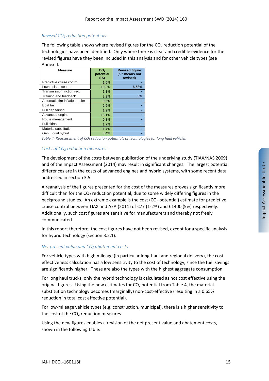### *Revised CO2 reduction potentials*

The following table shows where revised figures for the  $CO<sub>2</sub>$  reduction potential of the technologies have been identified. Only where there is clear and credible evidence for the revised figures have they been included in this analysis and for other vehicle types (see Annex II.

| <b>Measure</b>                   | CO <sub>2</sub><br>potential | <b>Revised figure</b><br>("-" means not |
|----------------------------------|------------------------------|-----------------------------------------|
|                                  | (IA)                         | revised)                                |
| Predictive cruise control        | 1.5%                         |                                         |
| Low resistance tires             | 10.3%                        | 6.68%                                   |
| Transmission friction red.       | 1.1%                         |                                         |
| Training and feedback            | 2.2%                         | 5%                                      |
| Automatic tire inflation trailer | 0.5%                         |                                         |
| Boat tail                        | 2.5%                         |                                         |
| Full gap fairing                 | 1.2%                         |                                         |
| Advanced engine                  | 13.1%                        |                                         |
| Route management                 | 0.3%                         |                                         |
| <b>Full skirts</b>               | 1.7%                         |                                         |
| Material substitution            | 1.4%                         |                                         |
| Gen II dual hybrid               | 6,4%                         |                                         |

*Table 4: Reassessment of CO2 reduction potentials of technologies for long haul vehicles*

## *Costs of CO<sub>2</sub> reduction measures*

The development of the costs between publication of the underlying study (TIAX/NAS 2009) and of the Impact Assessment (2014) may result in significant changes. The largest potential differences are in the costs of advanced engines and hybrid systems, with some recent data addressed in section 3.5.

A reanalysis of the figures presented for the cost of the measures proves significantly more difficult than for the  $CO<sub>2</sub>$  reduction potential, due to some widely differing figures in the background studies. An extreme example is the cost  $(CO<sub>2</sub>$  potential) estimate for predictive cruise control between TIAX and AEA (2011) of  $\epsilon$ 77 (1-2%) and  $\epsilon$ 1400 (5%) respectively. Additionally, such cost figures are sensitive for manufacturers and thereby not freely communicated.

In this report therefore, the cost figures have not been revised, except for a specific analysis for hybrid technology (section 3.2.1).

### *Net present value and CO<sub>2</sub> abatement costs*

For vehicle types with high mileage (in particular long‐haul and regional delivery), the cost effectiveness calculation has a low sensitivity to the cost of technology, since the fuel savings are significantly higher. These are also the types with the highest aggregate consumption.

For long haul trucks, only the hybrid technology is calculated as not cost effective using the original figures. Using the new estimates for  $CO<sub>2</sub>$  potential from Table 4, the material substitution technology becomes (marginally) non‐cost‐effective (resulting in a 0.65% reduction in total cost effective potential).

For low‐mileage vehicle types (e.g. construction, municipal), there is a higher sensitivity to the cost of the  $CO<sub>2</sub>$  reduction measures.

Using the new figures enables a revision of the net present value and abatement costs, shown in the following table: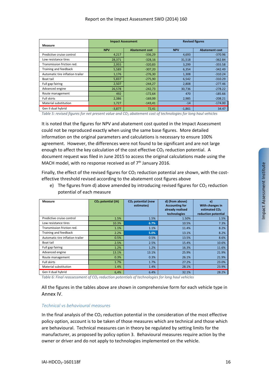| Measure                          |            | <b>Impact Assessment</b> |            | <b>Revised figures</b> |
|----------------------------------|------------|--------------------------|------------|------------------------|
|                                  | <b>NPV</b> | <b>Abatement cost</b>    | <b>NPV</b> | <b>Abatement cost</b>  |
| Predictive cruise control        | 4,217      | $-336,29$                | 4,693      | $-370.96$              |
| Low resistance tires             | 28,371     | $-328,16$                | 31,518     | $-362.84$              |
| Transmission friction red.       | 2,955      | $-320,83$                | 3,299      | $-355.58$              |
| Training and feedback            | 5,589      | $-307,20$                | 6,354      | $-342.49$              |
| Automatic tire inflation trailer | 1,176      | $-276,30$                | 1,308      | $-310.24$              |
| Boat tail                        | 5,837      | $-275,90$                | 6,542      | $-310.29$              |
| Full gap fairing                 | 2,507      | $-244,27$                | 2,808      | $-277.46$              |
| Advanced engine                  | 26,578     | $-242,73$                | 30,736     | $-278.22$              |
| Route management                 | 492        | $-172,64$                | 470        | $-185.66$              |
| <b>Full skirts</b>               | 2,386      | $-169,99$                | 2,985      | $-208.21$              |
| Material substitution            | 1,727      | $-143,41$                | $-14$      | $-174.00$              |
| Gen II dual hybrid               | $-3,877$   | 72,41                    | $-1,861$   | 34.47                  |

Table 5: revised figures for net present value and CO<sub>2</sub> abatement cost of technologies for long haul vehicles

It is noted that the figures for NPV and abatement cost quoted in the Impact Assessment could not be reproduced exactly when using the same base figures. More detailed information on the original parameters and calculations is necessary to ensure 100% agreement. However, the differences were not found to be significant and are not large enough to affect the key calculation of the cost effective  $CO<sub>2</sub>$  reduction potential. A document request was filed in June 2015 to access the original calculations made using the MACH model, with no response received as of  $7<sup>th</sup>$  January 2016.

Finally, the effect of the revised figures for  $CO<sub>2</sub>$  reduction potential are shown, with the costeffective threshold revised according to the abatement cost figures above

e) The figures from d) above amended by introducing revised figures for  $CO<sub>2</sub>$  reduction potential of each measure

| Measure                          | $CO2$ potential (IA) | CO <sub>2</sub> potential (new<br>estimates) | d) (from above)<br><b>Accounting for</b><br>already realised<br>technologies | e)<br>With changes in<br>estimated CO <sub>2</sub><br>reduction potential |
|----------------------------------|----------------------|----------------------------------------------|------------------------------------------------------------------------------|---------------------------------------------------------------------------|
| Predictive cruise control        | 1.5%                 | 1.5%                                         | 1.50%                                                                        | 1.5%                                                                      |
| Low resistance tires             | 10.3%                | 6.7%                                         | 10.5%                                                                        | 7.3%                                                                      |
| Transmission friction red.       | 1.1%                 | 1.1%                                         | 11.4%                                                                        | 8.2%                                                                      |
| Training and feedback            | 2.2%                 | 5.0%                                         | 13.1%                                                                        | 8.2%                                                                      |
| Automatic tire inflation trailer | 0.5%                 | 0.5%                                         | 13.5%                                                                        | 8.6%                                                                      |
| Boat tail                        | 2.5%                 | 2.5%                                         | 15.4%                                                                        | 10.6%                                                                     |
| Full gap fairing                 | 1.2%                 | 1.2%                                         | 16.3%                                                                        | 11.6%                                                                     |
| Advanced engine                  | 13.1%                | 13.1%                                        | 25.9%                                                                        | 21.9%                                                                     |
| Route management                 | 0.3%                 | 0.3%                                         | 26.1%                                                                        | 21.9%                                                                     |
| <b>Full skirts</b>               | 1.7%                 | 1.7%                                         | 27.2%                                                                        | 23.0%                                                                     |
| Material substitution            | 1.4%                 | 1.4%                                         | 28.1%                                                                        | 23.9%                                                                     |
| Gen II dual hybrid               | 6,4%                 | 6.4%                                         | 32.1%                                                                        | 28.2%                                                                     |

*Table 6: Final reassessment of CO2 reduction potentials of technologies for long haul vehicles*

All the figures in the tables above are shown in comprehensive form for each vehicle type in Annex IV.

### *Technical vs behavioural measures*

In the final analysis of the  $CO<sub>2</sub>$  reduction potential in the consideration of the most effective policy option, account is to be taken of those measures which are technical and those which are behavioural. Technical measures can in theory be regulated by setting limits for the manufacturer, as proposed by policy option 3. Behavioural measures require action by the owner or driver and do not apply to technologies implemented on the vehicle.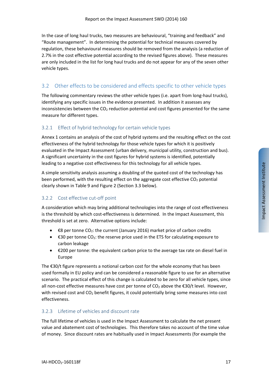In the case of long haul trucks, two measures are behavioural, "training and feedback" and "Route management". In determining the potential for technical measures covered by regulation, these behavioural measures should be removed from the analysis (a reduction of 2.7% in the cost effective potential according to the revised figures above). These measures are only included in the list for long haul trucks and do not appear for any of the seven other vehicle types.

# 3.2 Other effects to be considered and effects specific to other vehicle types

The following commentary reviews the other vehicle types (i.e. apart from long‐haul trucks), identifying any specific issues in the evidence presented. In addition it assesses any inconsistencies between the  $CO<sub>2</sub>$  reduction potential and cost figures presented for the same measure for different types.

# 3.2.1 Effect of hybrid technology for certain vehicle types

Annex 1 contains an analysis of the cost of hybrid systems and the resulting effect on the cost effectiveness of the hybrid technology for those vehicle types for which it is positively evaluated in the Impact Assessment (urban delivery, municipal utility, construction and bus). A significant uncertainty in the cost figures for hybrid systems is identified, potentially leading to a negative cost effectiveness for this technology for all vehicle types.

A simple sensitivity analysis assuming a doubling of the quoted cost of the technology has been performed, with the resulting effect on the aggregate cost effective  $CO<sub>2</sub>$  potential clearly shown in Table 9 and Figure 2 (Section 3.3 below).

# 3.2.2 Cost effective cut‐off point

A consideration which may bring additional technologies into the range of cost effectiveness is the threshold by which cost-effectiveness is determined. In the Impact Assessment, this threshold is set at zero. Alternative options include:

- €8 per tonne CO<sub>2</sub>: the current (January 2016) market price of carbon credits
- €30 per tonne CO2: the reserve price used in the ETS for calculating exposure to carbon leakage
- €200 per tonne: the equivalent carbon price to the average tax rate on diesel fuel in Europe

The €30/t figure represents a notional carbon cost for the whole economy that has been used formally in EU policy and can be considered a reasonable figure to use for an alternative scenario. The practical effect of this change is calculated to be zero for all vehicle types, since all non-cost effective measures have cost per tonne of  $CO<sub>2</sub>$  above the  $€30/t$  level. However, with revised cost and  $CO<sub>2</sub>$  benefit figures, it could potentially bring some measures into cost effectiveness.

## 3.2.3 Lifetime of vehicles and discount rate

The full lifetime of vehicles is used in the Impact Assessment to calculate the net present value and abatement cost of technologies. This therefore takes no account of the time value of money. Since discount rates are habitually used in Impact Assessments (for example the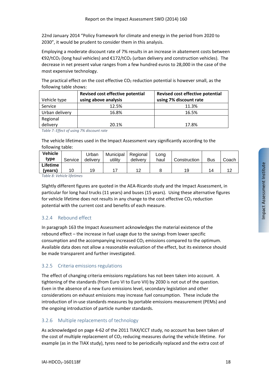22nd January 2014 "Policy framework for climate and energy in the period from 2020 to 2030", it would be prudent to consider them in this analysis.

Employing a moderate discount rate of 7% results in an increase in abatement costs between €92/tCO<sub>2</sub> (long haul vehicles) and €172/tCO<sub>2</sub> (urban delivery and construction vehicles). The decrease in net present value ranges from a few hundred euros to 28,000 in the case of the most expensive technology.

The practical effect on the cost effective  $CO<sub>2</sub>$  reduction potential is however small, as the following table shows:

|                | Revised cost effective potential | Revised cost effective potential |
|----------------|----------------------------------|----------------------------------|
| Vehicle type   | using above analysis             | using 7% discount rate           |
| Service        | 12.5%                            | 11.3%                            |
| Urban delivery | 16.8%                            | 16.5%                            |
| Regional       |                                  |                                  |
| delivery       | 20.1%                            | 17.8%                            |

*Table 7: Effect of using 7% discount rate*

The vehicle lifetimes used in the Impact Assessment vary significantly according to the following table:

| <b>Vehicle</b><br>type             | Service | Urban<br>delivery | Municipal<br>utility | Regional<br>delivery | Long<br>haul | Construction | <b>Bus</b> | Coach |
|------------------------------------|---------|-------------------|----------------------|----------------------|--------------|--------------|------------|-------|
| <b>Lifetime</b>                    |         |                   |                      |                      |              |              | 14         |       |
| (vears)<br>$-11$ $-11$ $-11$ $-12$ | 10      | 19                |                      |                      |              | 19           |            |       |

*Table 8: Vehicle lifetimes*

Slightly different figures are quoted in the AEA‐Ricardo study and the Impact Assessment, in particular for long haul trucks (11 years) and buses (15 years). Using these alternative figures for vehicle lifetime does not results in any change to the cost effective  $CO<sub>2</sub>$  reduction potential with the current cost and benefits of each measure.

# 3.2.4 Rebound effect

In paragraph 163 the Impact Assessment acknowledges the material existence of the rebound effect – the increase in fuel usage due to the savings from lower specific consumption and the accompanying increased  $CO<sub>2</sub>$  emissions compared to the optimum. Available data does not allow a reasonable evaluation of the effect, but its existence should be made transparent and further investigated.

# 3.2.5 Criteria emissions regulations

The effect of changing criteria emissions regulations has not been taken into account. A tightening of the standards (from Euro VI to Euro VII) by 2030 is not out of the question. Even in the absence of a new Euro emissions level, secondary legislation and other considerations on exhaust emissions may increase fuel consumption. These include the introduction of in‐use standards measures by portable emissions measurement (PEMs) and the ongoing introduction of particle number standards.

# 3.2.6 Multiple replacements of technology

As acknowledged on page 4‐62 of the 2011 TIAX/ICCT study, no account has been taken of the cost of multiple replacement of  $CO<sub>2</sub>$  reducing measures during the vehicle lifetime. For example (as in the TIAX study), tyres need to be periodically replaced and the extra cost of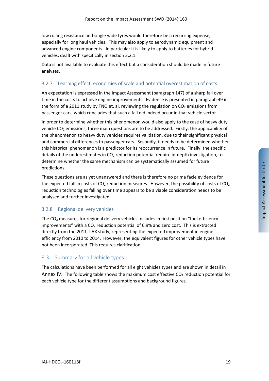low rolling resistance and single wide tyres would therefore be a recurring expense, especially for long haul vehicles. This may also apply to aerodynamic equipment and advanced engine components. In particular it is likely to apply to batteries for hybrid vehicles, dealt with specifically in section 3.2.1.

Data is not available to evaluate this effect but a consideration should be made in future analyses.

# 3.2.7 Learning effect, economies of scale and potential overestimation of costs

An expectation is expressed in the Impact Assessment (paragraph 147) of a sharp fall over time in the costs to achieve engine improvements. Evidence is presented in paragraph 49 in the form of a 2011 study by TNO et. al. reviewing the regulation on  $CO<sub>2</sub>$  emissions from passenger cars, which concludes that such a fall did indeed occur in that vehicle sector.

In order to determine whether this phenomenon would also apply to the case of heavy duty vehicle CO<sub>2</sub> emissions, three main questions are to be addressed. Firstly, the applicability of the phenomenon to heavy duty vehicles requires validation, due to their significant physical and commercial differences to passenger cars. Secondly, it needs to be determined whether this historical phenomenon is a predictor for its reoccurrence in future. Finally, the specific details of the underestimates in  $CO<sub>2</sub>$  reduction potential require in-depth investigation, to determine whether the same mechanism can be systematically assumed for future predictions.

These questions are as yet unanswered and there is therefore no prima facie evidence for the expected fall in costs of  $CO<sub>2</sub>$  reduction measures. However, the possibility of costs of  $CO<sub>2</sub>$ reduction technologies falling over time appears to be a viable consideration needs to be analysed and further investigated.

# 3.2.8 Regional delivery vehicles

The CO<sub>2</sub> measures for regional delivery vehicles includes in first position "fuel efficiency improvements" with a  $CO<sub>2</sub>$  reduction potential of 6.9% and zero cost. This is extracted directly from the 2011 TIAX study, representing the expected improvement in engine efficiency from 2010 to 2014. However, the equivalent figures for other vehicle types have not been incorporated. This requires clarification.

# 3.3 Summary for all vehicle types

The calculations have been performed for all eight vehicles types and are shown in detail in Annex IV. The following table shows the maximum cost effective  $CO<sub>2</sub>$  reduction potential for each vehicle type for the different assumptions and background figures.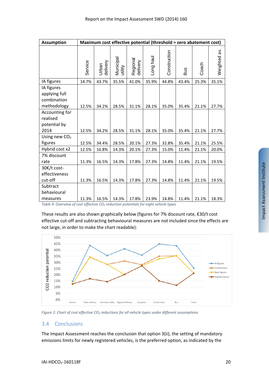| <b>Assumption</b>                                         | Maximum cost effective potential (threshold = zero abatement cost) |                   |                      |                      |           |              |       |       |              |  |  |  |
|-----------------------------------------------------------|--------------------------------------------------------------------|-------------------|----------------------|----------------------|-----------|--------------|-------|-------|--------------|--|--|--|
|                                                           | Service                                                            | delivery<br>Urban | Municipal<br>utility | Regional<br>delivery | Long haul | Construction | Bus   | Coach | Weighted av. |  |  |  |
| IA figures                                                | 14.7%                                                              | 43.7%             | 35.5%                | 41.0%                | 35.9%     | 44.8%        | 43.4% | 25.3% | 35.1%        |  |  |  |
| IA figures<br>applying full<br>combination<br>methodology | 12.5%                                                              | 34.2%             | 28.5%                | 31.1%                | 28.1%     | 35.0%        | 35.4% | 21.1% | 27.7%        |  |  |  |
| Accounting for<br>realised<br>potential by                |                                                                    |                   |                      |                      |           |              |       |       |              |  |  |  |
| 2014                                                      | 12.5%                                                              | 34.2%             | 28.5%                | 31.1%                | 28.1%     | 35.0%        | 35.4% | 21.1% | 27.7%        |  |  |  |
| Using new $CO2$<br>figures                                | 12.5%                                                              | 34.4%             | 28.5%                | 20.1%                | 27.3%     | 32.8%        | 35.4% | 21.1% | 25.5%        |  |  |  |
| Hybrid cost x2                                            | 12.5%                                                              | 16.8%             | 14.3%                | 20.1%                | 27.3%     | 15.0%        | 11.4% | 21.1% | 20.0%        |  |  |  |
| 7% discount<br>rate                                       | 11.3%                                                              | 16.5%             | 14.3%                | 17.8%                | 27.3%     | 14.8%        | 11.4% | 21.1% | 19.5%        |  |  |  |
| 30€/t cost-<br>effectiveness<br>cut-off                   | 11.3%                                                              | 16.5%             | 14.3%                | 17.8%                | 27.3%     | 14.8%        | 11.4% | 21.1% | 19.5%        |  |  |  |
| Subtract<br>behavioural<br>measures                       | 11.3%                                                              | 16.5%             | 14.3%                | 17.8%                | 23.9%     | 14.8%        | 11.4% | 21.1% | 18.3%        |  |  |  |

*Table 9: Overview of cost effective CO2 reduction potentials for eight vehicle types*

These results are also shown graphically below (figures for 7% discount rate, €30/t cost effective cut-off and subtracting behavioural measures are not included since the effects are not large, in order to make the chart readable):



*Figure 2: Chart of cost effective CO2 reductions for all vehicle types under different assumptions*

# 3.4 Conclusions

The Impact Assessment reaches the conclusion that option 3(ii), the setting of mandatory emissions limits for newly registered vehicles, is the preferred option, as indicated by the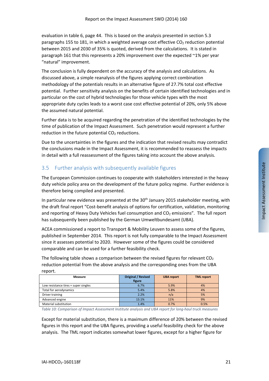evaluation in table 6, page 44. This is based on the analysis presented in section 5.3 paragraphs 155 to 181, in which a weighted average cost effective  $CO<sub>2</sub>$  reduction potential between 2015 and 2030 of 35% is quoted, derived from the calculations. It is stated in paragraph 161 that this represents a 20% improvement over the expected ~1% per year "natural" improvement.

The conclusion is fully dependent on the accuracy of the analysis and calculations. As discussed above, a simple reanalysis of the figures applying correct combination methodology of the potentials results in an alternative figure of 27.7% total cost effective potential. Further sensitivity analysis on the benefits of certain identified technologies and in particular on the cost of hybrid technologies for those vehicle types with the most appropriate duty cycles leads to a worst case cost effective potential of 20%, only 5% above the assumed natural potential.

Further data is to be acquired regarding the penetration of the identified technologies by the time of publication of the Impact Assessment. Such penetration would represent a further reduction in the future potential  $CO<sub>2</sub>$  reductions.

Due to the uncertainties in the figures and the indication that revised results may contradict the conclusions made in the Impact Assessment, it is recommended to reassess the impacts in detail with a full reassessment of the figures taking into account the above analysis.

# 3.5 Further analysis with subsequently available figures

The European Commission continues to cooperate with stakeholders interested in the heavy duty vehicle policy area on the development of the future policy regime. Further evidence is therefore being compiled and presented.

In particular new evidence was presented at the 30<sup>th</sup> January 2015 stakeholder meeting, with the draft final report "Cost‐benefit analysis of options for certification, validation, monitoring and reporting of Heavy Duty Vehicles fuel consumption and  $CO<sub>2</sub>$  emissions". The full report has subsequently been published by the German Umweltbundesamt (UBA).

ACEA commissioned a report to Transport & Mobility Leuven to assess some of the figures, published in September 2014. This report is not fully comparable to the Impact Assessment since it assesses potential to 2020. However some of the figures could be considered comparable and can be used for a further feasibility check.

The following table shows a comparison between the revised figures for relevant  $CO<sub>2</sub>$ reduction potential from the above analysis and the corresponding ones from the UBA report.

| Measure                              | <b>Original / Revised</b><br>figure | <b>UBA</b> report | <b>TML report</b> |
|--------------------------------------|-------------------------------------|-------------------|-------------------|
| Low resistance tires + super singles | 6.7%                                | 5.9%              | 4%                |
| Total for aerodynamics               | 5.4%                                | 5.8%              | 4%                |
| Driver training                      | 2.2%                                | n/a               | 5%                |
| Advanced engine                      | 13.1%                               | 11%               | 9%                |
| Material substitution                | 1.4%                                | 0.7%              | 0.5%              |

*Table 10: Comparison of Impact Assessment Institute analysis and UBA report for long‐haul truck measures*

Except for material substitution, there is a maximum difference of 20% between the revised figures in this report and the UBA figures, providing a useful feasibility check for the above analysis. The TML report indicates somewhat lower figures, except for a higher figure for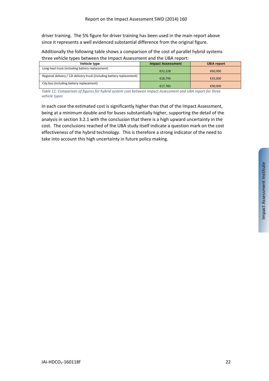driver training. The 5% figure for driver training has been used in the main report above since it represents a well evidenced substantial difference from the original figure.

Additionally the following table shows a comparison of the cost of parallel hybrid systems three vehicle types between the Impact Assessment and the UBA report:

| Vehicle type                                                           | <b>Impact Assessment</b> | <b>UBA report</b> |
|------------------------------------------------------------------------|--------------------------|-------------------|
| Long-haul truck (including battery replacement)                        | €22.228                  | €60.000           |
| Regional delivery / 12t delivery truck (including battery replacement) | €18.794                  | €35.000           |
| City bus (including battery replacement)                               | €17.783                  | €90,000           |

*Table 11: Comparison of figures for hybrid system cost between Impact Assessment and UBA report for three vehicle types*

In each case the estimated cost is significantly higher than that of the Impact Assessment, being at a minimum double and for buses substantially higher, supporting the detail of the analysis in section 3.2.1 with the conclusion that there is a high upward uncertainty in the cost. The conclusions reached of the UBA study itself indicate a question mark on the cost effectiveness of the hybrid technology. This is therefore a strong indicator of the need to take into account this high uncertainty in future policy making.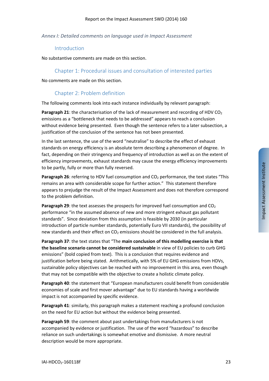### *Annex I: Detailed comments on language used in Impact Assessment*

### Introduction

No substantive comments are made on this section.

# Chapter 1: Procedural issues and consultation of interested parties

No comments are made on this section.

# Chapter 2: Problem definition

The following comments look into each instance individually by relevant paragraph:

**Paragraph 21:** the characterisation of the lack of measurement and recording of HDV CO<sub>2</sub> emissions as a "bottleneck that needs to be addressed" appears to reach a conclusion without evidence being presented. Even though the sentence refers to a later subsection, a justification of the conclusion of the sentence has not been presented.

In the last sentence, the use of the word "neutralise" to describe the effect of exhaust standards on energy efficiency is an absolute term describing a phenomenon of degree. In fact, depending on their stringency and frequency of introduction as well as on the extent of efficiency improvements, exhaust standards may cause the energy efficiency improvements to be partly, fully or more than fully reversed.

**Paragraph 26**: referring to HDV fuel consumption and CO<sub>2</sub> performance, the text states "This remains an area with considerable scope for further action." This statement therefore appears to prejudge the result of the Impact Assessment and does not therefore correspond to the problem definition.

**Paragraph 29:** the text assesses the prospects for improved fuel consumption and CO<sub>2</sub> performance "in the assumed absence of new and more stringent exhaust gas pollutant standards". Since deviation from this assumption is feasible by 2030 (in particular introduction of particle number standards, potentially Euro VII standards), the possibility of new standards and their effect on  $CO<sub>2</sub>$  emissions should be considered in the full analysis.

**Paragraph 37**: the text states that "The **main conclusion of this modelling exercise is that the baseline scenario cannot be considered sustainable** in view of EU policies to curb GHG emissions" (bold copied from text). This is a conclusion that requires evidence and justification before being stated. Arithmetically, with 5% of EU GHG emissions from HDVs, sustainable policy objectives can be reached with no improvement in this area, even though that may not be compatible with the objective to create a holistic climate policy.

**Paragraph 40**: the statement that "European manufacturers could benefit from considerable economies of scale and first mover advantage" due to EU standards having a worldwide impact is not accompanied by specific evidence.

**Paragraph 41**: similarly, this paragraph makes a statement reaching a profound conclusion on the need for EU action but without the evidence being presented.

**Paragraph 59**: the comment about past undertakings from manufacturers is not accompanied by evidence or justification. The use of the word "hazardous" to describe reliance on such undertakings is somewhat emotive and dismissive. A more neutral description would be more appropriate.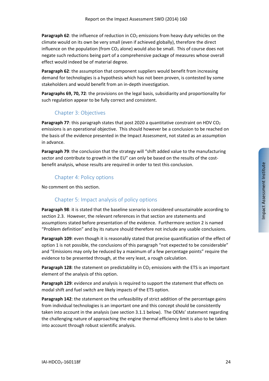**Paragraph 62:** the influence of reduction in CO<sub>2</sub> emissions from heavy duty vehicles on the climate would on its own be very small (even if achieved globally), therefore the direct influence on the population (from  $CO<sub>2</sub>$  alone) would also be small. This of course does not negate such reductions being part of a comprehensive package of measures whose overall effect would indeed be of material degree.

**Paragraph 62**: the assumption that component suppliers would benefit from increasing demand for technologies is a hypothesis which has not been proven, is contested by some stakeholders and would benefit from an in‐depth investigation.

**Paragraphs 69, 70, 72**: the provisions on the legal basis, subsidiarity and proportionality for such regulation appear to be fully correct and consistent.

# Chapter 3: Objectives

**Paragraph 77:** this paragraph states that post 2020 a quantitative constraint on HDV CO<sub>2</sub> emissions is an operational objective. This should however be a conclusion to be reached on the basis of the evidence presented in the Impact Assessment, not stated as an assumption in advance.

**Paragraph 79**: the conclusion that the strategy will "shift added value to the manufacturing sector and contribute to growth in the EU" can only be based on the results of the costbenefit analysis, whose results are required in order to test this conclusion.

# Chapter 4: Policy options

No comment on this section.

# Chapter 5: Impact analysis of policy options

**Paragraph 98**: it is stated that the baseline scenario is considered unsustainable according to section 2.3. However, the relevant references in that section are statements and assumptions stated before presentation of the evidence. Furthermore section 2 is named "Problem definition" and by its nature should therefore not include any usable conclusions.

**Paragraph 109**: even though it is reasonably stated that precise quantification of the effect of option 1 is not possible, the conclusions of this paragraph "not expected to be considerable" and "Emissions may only be reduced by a maximum of a few percentage points" require the evidence to be presented through, at the very least, a rough calculation.

**Paragraph 128:** the statement on predictability in CO<sub>2</sub> emissions with the ETS is an important element of the analysis of this option.

**Paragraph 129**: evidence and analysis is required to support the statement that effects on modal shift and fuel switch are likely impacts of the ETS option.

**Paragraph 142**: the statement on the unfeasibility of strict addition of the percentage gains from individual technologies is an important one and this concept should be consistently taken into account in the analysis (see section 3.1.1 below). The OEMs' statement regarding the challenging nature of approaching the engine thermal efficiency limit is also to be taken into account through robust scientific analysis.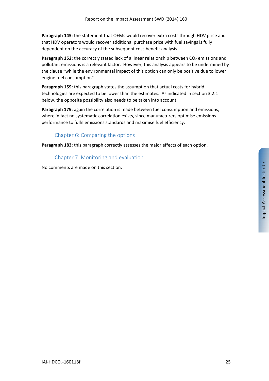**Paragraph 145**: the statement that OEMs would recover extra costs through HDV price and that HDV operators would recover additional purchase price with fuel savings is fully dependent on the accuracy of the subsequent cost‐benefit analysis.

**Paragraph 152:** the correctly stated lack of a linear relationship between CO<sub>2</sub> emissions and pollutant emissions is a relevant factor. However, this analysis appears to be undermined by the clause "while the environmental impact of this option can only be positive due to lower engine fuel consumption".

**Paragraph 159**: this paragraph states the assumption that actual costs for hybrid technologies are expected to be lower than the estimates. As indicated in section 3.2.1 below, the opposite possibility also needs to be taken into account.

**Paragraph 179**: again the correlation is made between fuel consumption and emissions, where in fact no systematic correlation exists, since manufacturers optimise emissions performance to fulfil emissions standards and maximise fuel efficiency.

# Chapter 6: Comparing the options

**Paragraph 183**: this paragraph correctly assesses the major effects of each option.

Chapter 7: Monitoring and evaluation

No comments are made on this section.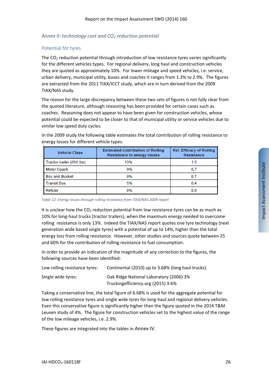# *Annex II: technology cost and CO2 reduction potential*

# Potential for tyres

The  $CO<sub>2</sub>$  reduction potential through introduction of low resistance tyres varies significantly for the different vehicles types. For regional delivery, long haul and construction vehicles they are quoted as approximately 10%. For lower mileage and speed vehicles, i.e. service, urban delivery, municipal utility, buses and coaches it ranges from 1.3% to 2.9%. The figures are extracted from the 2011 TIAX/ICCT study, which are in turn derived from the 2009 TIAX/NAS study.

The reason for the large discrepancy between these two sets of figures is not fully clear from the quoted literature, although reasoning has been provided for certain cases such as coaches. Reasoning does not appear to have been given for construction vehicles, whose potential could be expected to be closer to that of municipal utility or service vehicles due to similar low speed duty cycles.

| <b>Vehicle Class</b>      | <b>Estimated contribution of Rolling</b><br><b>Resistance to energy losses</b> | <b>Rel. Efficacy of Rolling</b><br>Resistance |
|---------------------------|--------------------------------------------------------------------------------|-----------------------------------------------|
| Tractor trailer (65K lbs) | 13%                                                                            | 1.0                                           |
| <b>Motor Coach</b>        | 9%                                                                             | 0.7                                           |
| <b>Box and Bucket</b>     | 9%                                                                             | 0.7                                           |
| <b>Transit Bus</b>        | 5%                                                                             | 0.4                                           |
| Refuse                    | 8%                                                                             | 0.8                                           |

In the 2009 study the following table estimates the total contribution of rolling resistance to energy losses for different vehicle types.

*Table 12: Energy losses through rolling resistance from TIAX/NAS 2009 report*

It is unclear how the  $CO<sub>2</sub>$  reduction potential from low resistance tyres can be as much as 10% for long‐haul trucks (tractor trailers), when the maximum energy needed to overcome rolling resistance is only 13%. Indeed the TIAX/NAS report quotes one tyre technology (next generation wide based single tyres) with a potential of up to 14%, higher than the total energy loss from rolling resistance. However, other studies and sources quote between 25 and 60% for the contribution of rolling resistance to fuel consumption.

In order to provide an indication of the magnitude of any correction to the figures, the following sources have been identified:

| Low rolling resistance tyres: | Continental (2010) up to 3.68% (long haul trucks). |
|-------------------------------|----------------------------------------------------|
| Single wide tyres:            | Oak Ridge National Laboratory (2006) 3%            |
|                               | Trucking efficiency.org (2015) 3-6%                |

Taking a conservative line, the total figure of 6.68% is used for the aggregate potential for low rolling resistance tyres and single wide tyres for long-haul and regional delivery vehicles. Even this conservative figure is significantly higher than the figure quoted in the 2014 T&M Leuven study of 4%. The figure for construction vehicles set to the highest value of the range of the low mileage vehicles, i.e. 2.9%.

These figures are integrated into the tables in Annex IV.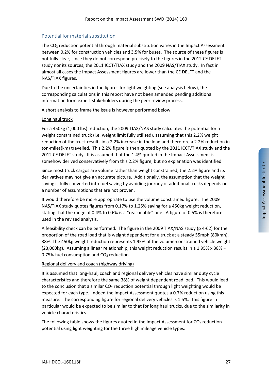# Potential for material substitution

The  $CO<sub>2</sub>$  reduction potential through material substitution varies in the Impact Assessment between 0.2% for construction vehicles and 3.5% for buses. The source of these figures is not fully clear, since they do not correspond precisely to the figures in the 2012 CE DELFT study nor its sources, the 2011 ICCT/TIAX study and the 2009 NAS/TIAX study. In fact in almost all cases the Impact Assessment figures are lower than the CE DELFT and the NAS/TIAX figures.

Due to the uncertainties in the figures for light weighting (see analysis below), the corresponding calculations in this report have not been amended pending additional information form expert stakeholders during the peer review process.

A short analysis to frame the issue is however performed below:

### Long haul truck

For a 450kg (1,000 lbs) reduction, the 2009 TIAX/NAS study calculates the potential for a weight constrained truck (i.e. weight limit fully utilised), assuming that this 2.2% weight reduction of the truck results in a 2.2% increase in the load and therefore a 2.2% reduction in ton‐miles(km) travelled. This 2.2% figure is then quoted by the 2011 ICCT/TIAX study and the 2012 CE DELFT study. It is assumed that the 1.4% quoted in the Impact Assessment is somehow derived conservatively from this 2.2% figure, but no explanation was identified.

Since most truck cargos are volume rather than weight constrained, the 2.2% figure and its derivatives may not give an accurate picture. Additionally, the assumption that the weight saving is fully converted into fuel saving by avoiding journey of additional trucks depends on a number of assumptions that are not proven.

It would therefore be more appropriate to use the volume constrained figure. The 2009 NAS/TIAX study quotes figures from 0.17% to 1.25% saving for a 450kg weight reduction, stating that the range of 0.4% to 0.6% is a "reasonable" one. A figure of 0.5% is therefore used in the revised analysis.

A feasibility check can be performed. The figure in the 2009 TIAX/NAS study (p 4‐62) for the proportion of the road load that is weight dependent for a truck at a steady 55mph (80kmh), 38%. The 450kg weight reduction represents 1.95% of the volume‐constrained vehicle weight (23,000kg). Assuming a linear relationship, this weight reduction results in a 1.95% x 38% = 0.75% fuel consumption and  $CO<sub>2</sub>$  reduction.

### Regional delivery and coach (highway driving)

It is assumed that long‐haul, coach and regional delivery vehicles have similar duty cycle characteristics and therefore the same 38% of weight dependent road load. This would lead to the conclusion that a similar  $CO<sub>2</sub>$  reduction potential through light weighting would be expected for each type. Indeed the Impact Assessment quotes a 0.7% reduction using this measure. The corresponding figure for regional delivery vehicles is 1.5%. This figure in particular would be expected to be similar to that for long haul trucks, due to the similarity in vehicle characteristics.

The following table shows the figures quoted in the Impact Assessment for  $CO<sub>2</sub>$  reduction potential using light weighting for the three high mileage vehicle types: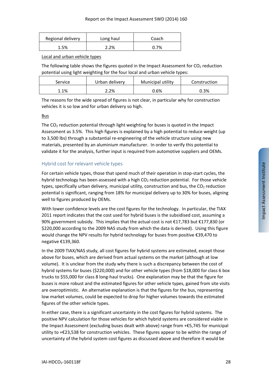| Regional delivery | Long haul | Coach |
|-------------------|-----------|-------|
| 1.5%              | 2.2%      | 0.7%  |

Local and urban vehicle types

The following table shows the figures quoted in the Impact Assessment for  $CO<sub>2</sub>$  reduction potential using light weighting for the four local and urban vehicle types:

| Service | Urban delivery | Municipal utility | Construction |
|---------|----------------|-------------------|--------------|
| 1.1%    | 2.2%           | 0.6%              | 0.3%         |

The reasons for the wide spread of figures is not clear, in particular why for construction vehicles it is so low and for urban delivery so high.

## Bus

The  $CO<sub>2</sub>$  reduction potential through light weighting for buses is quoted in the Impact Assessment as 3.5%. This high figures is explained by a high potential to reduce weight (up to 3,500 lbs) through a substantial re-engineering of the vehicle structure using new materials, presented by an aluminium manufacturer. In order to verify this potential to validate it for the analysis, further input is required from automotive suppliers and OEMs.

# Hybrid cost for relevant vehicle types

For certain vehicle types, those that spend much of their operation in stop-start cycles, the hybrid technology has been assessed with a high  $CO<sub>2</sub>$  reduction potential. For those vehicle types, specifically urban delivery, municipal utility, construction and bus, the  $CO<sub>2</sub>$  reduction potential is significant, ranging from 18% for municipal delivery up to 30% for buses, aligning well to figures produced by OEMs.

With lower confidence levels are the cost figures for the technology. In particular, the TIAX 2011 report indicates that the cost used for hybrid buses is the subsidised cost, assuming a 90% government subsidy. This implies that the actual cost is not €17,783 but €177,830 (or \$220,000 according to the 2009 NAS study from which the data is derived). Using this figure would change the NPV results for hybrid technology for buses from positive €39,470 to negative €139,360.

In the 2009 TIAX/NAS study, all cost figures for hybrid systems are estimated, except those above for buses, which are derived from actual systems on the market (although at low volume). It is unclear from the study why there is such a discrepancy between the cost of hybrid systems for buses (\$220,000) and for other vehicle types (from \$18,000 for class 6 box trucks to \$55,000 for class 8 long‐haul trucks). One explanation may be that the figure for buses is more robust and the estimated figures for other vehicle types, gained from site visits are overoptimistic. An alternative explanation is that the figures for the bus, representing low market volumes, could be expected to drop for higher volumes towards the estimated figures of the other vehicle types.

In either case, there is a significant uncertainty in the cost figures for hybrid systems. The positive NPV calculation for those vehicles for which hybrid systems are considered viable in the Impact Assessment (excluding buses dealt with above) range from +€5,745 for municipal utility to +€23,538 for construction vehicles. These figures appear to be within the range of uncertainty of the hybrid system cost figures as discussed above and therefore it would be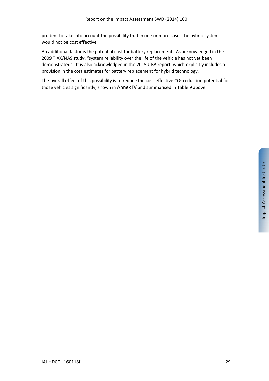prudent to take into account the possibility that in one or more cases the hybrid system would not be cost effective.

An additional factor is the potential cost for battery replacement. As acknowledged in the 2009 TIAX/NAS study, "system reliability over the life of the vehicle has not yet been demonstrated". It is also acknowledged in the 2015 UBA report, which explicitly includes a provision in the cost estimates for battery replacement for hybrid technology.

The overall effect of this possibility is to reduce the cost-effective  $CO<sub>2</sub>$  reduction potential for those vehicles significantly, shown in Annex IV and summarised in Table 9 above.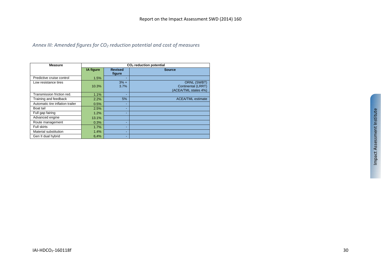# *Annex III: Amended figures for CO2 reduction potential and cost of measures*

| <b>Measure</b>                   |           |                          | CO <sub>2</sub> reduction potential                              |
|----------------------------------|-----------|--------------------------|------------------------------------------------------------------|
|                                  | IA figure | <b>Revised</b><br>figure | <b>Source</b>                                                    |
| Predictive cruise control        | 1.5%      | ٠                        |                                                                  |
| Low resistance tires             | 10.3%     | $3% +$<br>3.7%           | <b>ORNL (SWBT)</b><br>Continental (LRRT)<br>(ACEA/TML states 4%) |
| Transmission friction red.       | 1.1%      | ٠                        |                                                                  |
| Training and feedback            | 2.2%      | 5%                       | <b>ACEA/TML estimate</b>                                         |
| Automatic tire inflation trailer | 0.5%      | ٠                        |                                                                  |
| Boat tail                        | 2.5%      | ٠                        |                                                                  |
| Full gap fairing                 | 1.2%      | ٠                        |                                                                  |
| Advanced engine                  | 13.1%     |                          |                                                                  |
| Route management                 | 0.3%      | ۰                        |                                                                  |
| <b>Full skirts</b>               | 1.7%      | ٠                        |                                                                  |
| Material substitution            | 1.4%      | ٠                        |                                                                  |
| Gen II dual hybrid               | 6,4%      | ٠                        |                                                                  |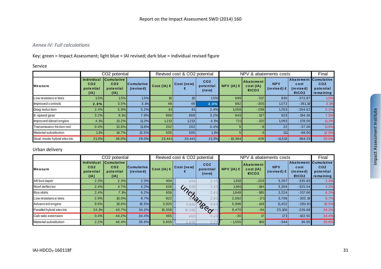### *Annex IV: Full calculations*

Key: green <sup>=</sup> Impact Assessment; light blue <sup>=</sup> IAI revised; dark blue <sup>=</sup> individual revised figure

#### Service

|                              |                                                    | CO <sub>2</sub> potential                                 |                                |                 | Revised cost & CO2 potential |                                       | NPV & abatements costs |                                 |                                    |                                               | Final                                                          |
|------------------------------|----------------------------------------------------|-----------------------------------------------------------|--------------------------------|-----------------|------------------------------|---------------------------------------|------------------------|---------------------------------|------------------------------------|-----------------------------------------------|----------------------------------------------------------------|
| <b>Measure</b>               | Individual<br>CO <sub>2</sub><br>potential<br>(IA) | <b>Cumulative</b><br>CO <sub>2</sub><br>potential<br>(IA) | <b>Cumulative</b><br>(revised) | Cost (IA) $\in$ | Cost (new)                   | CO <sub>2</sub><br>potential<br>(new) | NPV (IA) $\in$         | Abatement<br>cost(IA)<br>$f{C}$ | <b>NPV</b><br>(revised) $\epsilon$ | <b>Abatement</b><br>cost<br>(revised)<br>ECO2 | <b>Cumulative</b><br>CO <sub>2</sub><br>potential<br>remaining |
| Low resistance tires         | 1.5%                                               | 1.5%                                                      | 1.5%                           | 10 I            | 10 <sub>1</sub>              | 1.5%                                  | 699                    | $-317$                          | 830                                | $-372.87$                                     | 1.5%                                                           |
| Improved controls            | 2.0%                                               | 3.5%                                                      | 3.1%                           | 48              | 48                           | 2.0%                                  | 882                    | $-305$                          | 1,072                              | $-361.19$                                     | 3.1%                                                           |
| Drag reduction               | 2.4%                                               | 5.9%                                                      | 5.2%                           | 81              | 81                           | 2.4%                                  | 1,059                  | $-298$                          | 1,263                              | $-354.62$                                     | 5.2%                                                           |
| 8-speed gear                 | 3.2%                                               | 9.1%                                                      | 7.9%                           | 869             | 869                          | 3.2%                                  | 643                    | $-137$                          | 923                                | $-194.36$                                     | 7.9%                                                           |
| Improved diesel engine       | 4.1%                                               | 13.2%                                                     | 11.3%                          | 1,213           | 1,213                        | 4.1%                                  | <b>721</b>             | $-120$                          | 1,083                              | $-178.00$                                     | 11.3%                                                          |
| Transmission friction red    | 0.4%                                               | 13.6%                                                     | 11.6%                          | 202             | 202                          | 0.4%                                  |                        | -8                              | 22                                 | $-37.06$                                      | 11.6%                                                          |
| <b>Material substitution</b> | 1.1%                                               | 14.7%                                                     | 12.5%                          | 505             | 505                          | 1.1%                                  | 51                     | -3                              | 111                                | $-68.00$                                      | 12.5%                                                          |
| Dual-mode hybrid electric    | 21.3%                                              | 36.0%                                                     | 29.0%                          | 23,441          | 23,441                       | 21.3%                                 | $-13,364$              | 426                             | $-11,513$                          | 364.23                                        | 29.0%                                                          |

#### Urban delivery

|                              |                                                           | CO2 potential                                             |                                | Revised cost & CO2 potential |            |                                       | NPV & abatements costs |                                |                                    |                                                                  | Final                                     |
|------------------------------|-----------------------------------------------------------|-----------------------------------------------------------|--------------------------------|------------------------------|------------|---------------------------------------|------------------------|--------------------------------|------------------------------------|------------------------------------------------------------------|-------------------------------------------|
| <b>Measure</b>               | <b>Individual</b><br>CO <sub>2</sub><br>potential<br>(IA) | <b>Cumulative</b><br>CO <sub>2</sub><br>potential<br>(IA) | <b>Cumulative</b><br>(revised) | Cost (IA) $\in$              | Cost (new) | CO <sub>2</sub><br>potential<br>(new) | NPV (IA) $\in$         | Abatement<br>cost (IA)<br>ECO2 | <b>NPV</b><br>(revised) $\epsilon$ | <b>Abatement Cumulative</b><br>cost<br>(revised)<br><b>€tCO2</b> | CO <sub>2</sub><br>potential<br>remaining |
| Aft box taper                | 2.3%                                                      | 2.3%                                                      | 2.3%                           | 404                          | 404        | 2.3                                   | 1,913                  | $-203$                         | 3,267                              | $-335.83$                                                        | 2.3%                                      |
| Roof deflector               | 2.4%                                                      | 4.7%                                                      | 4.2%                           | 526                          | 526<br>4/2 | 2.4                                   | 1,991                  | $-194$                         | 3,304                              | $-325.54$                                                        | 4.2%                                      |
| <b>Box skirts</b>            | 2.4%                                                      | 7.1%                                                      | 6.2%                           | 606                          | $\gamma$   | 2.4                                   | 1,848                  | $-185$                         | 3,224                              | $-317.66$                                                        | 6.2%                                      |
| Low resistance tires         | 2.9%                                                      | 10.0%                                                     | 8.7%                           | 922                          |            |                                       | 2,092                  | $-171$                         | 3.706                              | $-302.19$                                                        | 8.7%                                      |
| Advanced engine              | 9.6%                                                      | 19.6%                                                     | 16.5%                          | 3,920                        | 3,920      |                                       | 5,996                  | $-149$                         | 11,402                             | $-280.81$                                                        | 16.5%                                     |
| Parallel hybrid electric     | 24.1%                                                     | 43.7%                                                     | 34.2%                          | 15,358                       | 15,358     | 1angod                                | 9,470                  | $-94$                          | 23,106                             | $-226.68$                                                        | 34.2%                                     |
| Cab side extension           | 0.4%                                                      | 44.2%                                                     | 34.4%                          | 465                          | 465        | 0.4                                   | $-30$                  | 17                             | 173                                | $-102.50$                                                        | 34.4%                                     |
| <b>Material substitution</b> | 2.2%                                                      | 46.4%                                                     | 35.6%                          | 3,855                        | 3,855      |                                       | $-1,555$               | 166                            | $-344$                             | 36.95                                                            | 35.6%                                     |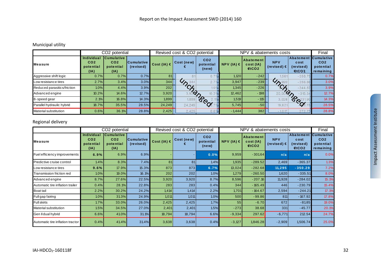# Municipal utility

|                             |                                                           | CO2 potential                                             |                                | Revised cost & CO2 potential |                                 |                                       | NPV & abatements costs |                                      |                                    |                                                            | Final                                     |
|-----------------------------|-----------------------------------------------------------|-----------------------------------------------------------|--------------------------------|------------------------------|---------------------------------|---------------------------------------|------------------------|--------------------------------------|------------------------------------|------------------------------------------------------------|-------------------------------------------|
| <b>Measure</b>              | <b>Individual</b><br>CO <sub>2</sub><br>potential<br>(IA) | <b>Cumulative</b><br>CO <sub>2</sub><br>potential<br>(IA) | <b>Cumulative</b><br>(revised) | Cost (IA) $\in$              | Cost (new)                      | CO <sub>2</sub><br>potential<br>(new) | NPV $(IA) \in I$       | <b>Abatement</b><br>cost(IA)<br>ECO2 | <b>NPV</b><br>(revised) $\epsilon$ | <b>Abatement Cumulative</b><br>cost<br>(revised)<br>f(CO2) | CO <sub>2</sub><br>potential<br>remaining |
| Aggressive shift logic      | 0.7%                                                      | 0.7%                                                      | 0.7%                           | 81                           |                                 | 0.7                                   | 1,120                  | $-242$                               | 1.56 <sup>°</sup>                  | $-358.$                                                    | 0.7%                                      |
| Low resistance tires        | 2.7%                                                      | 3.4%                                                      | 3.0%                           | 344                          | $\mathcal{G}_{\mathcal{D}}$ 344 | 2.1                                   | 3,947                  | $-239$                               | $\mathcal{Y}_{\mathcal{D}_1}$      | $-356.$                                                    | 3.0%                                      |
| Reduced parasitics/friction | 1.0%                                                      | 4.4%                                                      | 3.9%                           | 202                          | $^{\prime}$ Cf                  |                                       | 1,345                  | $-226$                               | $\infty$                           | $-344.$                                                    | 3.9%                                      |
| Advanced engine             | 10.2%                                                     | 14.6%                                                     | 12.7%                          | 3,920                        | $\phi$                          | 10.2                                  | 12,462                 | $-198$                               |                                    | $Q_{\mathcal{D}}$                                          | 12.7%                                     |
| 8-speed gear                | 2.1%                                                      | 16.8%                                                     | 14.3%                          | 1,899                        | 1,899                           | <b>POOL</b>                           | 1,519                  | $-115$                               | 3,028                              | Beed                                                       | 14.3%                                     |
| Parallel hydraulic hybrid   | 18.7%                                                     | 35.5%                                                     | 28.5%                          | 24,249                       | 24,249                          |                                       | 5,745                  | $-50$                                | 19,621                             |                                                            | 28.5%                                     |
| Material substitution       | 0.6%                                                      | 36.1%                                                     | 28.8%                          | 2,425                        | 2,425                           | 0.6'                                  | $-1,444$               | 382                                  | $-1.017$                           | 272                                                        | 28.8%                                     |

# Regional delivery

|                                  | CO <sub>2</sub> potential                                 |                                                           |                                |                 | Revised cost & CO2 potential |                                       |                | NPV & abatements costs             |                             |                             |                                                                   |
|----------------------------------|-----------------------------------------------------------|-----------------------------------------------------------|--------------------------------|-----------------|------------------------------|---------------------------------------|----------------|------------------------------------|-----------------------------|-----------------------------|-------------------------------------------------------------------|
| Measure                          | <b>Individual</b><br>CO <sub>2</sub><br>potential<br>(IA) | <b>Cumulative</b><br>CO <sub>2</sub><br>potential<br>(IA) | <b>Cumulative</b><br>(revised) | Cost (IA) $\in$ | Cost (new)                   | CO <sub>2</sub><br>potential<br>(new) | NPV (IA) $\in$ | Abatement<br>cost (IA)<br>$f$ tCO2 | <b>NPV</b><br>(re vise d) € | cost<br>(re vise d)<br>ECO2 | Abatement Cumulative<br>CO <sub>2</sub><br>potential<br>remaining |
| Fuel efficiency improvements     | 6.9%                                                      | 6.9%                                                      | 6.9%                           |                 |                              | 0.0%                                  | 9,959          | $-301.64$                          | n/a                         | n/a                         | 0.0%                                                              |
| Predictive cruise control        | 1.4%                                                      | 8.3%                                                      | 7.4%                           | 81              | 81                           | 1.4%                                  | 1,935          | $-289.52$                          | 2,469                       | $-365.37$                   | 1.3%                                                              |
| ow resistance tires              | 9.6%                                                      | 17.9%                                                     | 15.3%                          | 873             | 873                          | 6.7%                                  | 13,024         | $-282.68$                          | 11,295                      | $-350.29$                   | 7.2%                                                              |
| Transmission friction red        | 1.0%                                                      | 19.0%                                                     | 16.1%                          | 202             | 202                          | 1.0%                                  | 1,279          | $-260.50$                          | 1,620                       | $-335.51$                   | 8.0%                                                              |
| Advanced engine                  | 8.7%                                                      | 27.6%                                                     | 22.5%                          | 3,920           | 3,920                        | 8.7%                                  | 8,596          | $-207.16$                          | 11,928                      | $-284.02$                   | 15.1%                                                             |
| Automatic tire inflation trailer | 0.4%                                                      | 28.1%                                                     | 22.8%                          | 283             | 283                          | 0.4%                                  | 344            | $-165.49$                          | 446                         | $-230.79$                   | 15.4%                                                             |
| Boat tail                        | 2.2%                                                      | 30.2%                                                     | 24.2%                          | 1,414           | 1,414                        | 2.2%                                  | 1,701          | $-164.67$                          | 2,594                       | $-244.21$                   | 17.1%                                                             |
| Full gap fairing                 | 1.0%                                                      | 31.3%                                                     | 24.9%                          | 1,011           | 1,011                        | 1.0%                                  | 500            | $-99.86$                           | 811                         | $-167.92$                   | 17.8%                                                             |
| Full skirts                      | 1.7%                                                      | 33.0%                                                     | 26.0%                          | 2,425           | 2,425                        | 1.7%                                  | 55             | $-6.70$                            | 672                         | $-81.85$                    | 19.0%                                                             |
| Material substitution            | 1.5%                                                      | 34.5%                                                     | 27.0%                          | 2,401           | 2,401                        | 1.5%                                  | $-273$         | 38.68                              | 331                         | $-45.77$                    | 20.1%                                                             |
| Gen II dual hybrid               | 6.6%                                                      | 41.0%                                                     | 31.1%                          | 18,794          | 18,794                       | 6.6%                                  | $-9,334$       | 297.62                             | $-6,771$                    | 212.54                      | 24.7%                                                             |
| Automatic tire inflation tractor | 0.4%                                                      | 41.4%                                                     | 31.4%                          | 3,638           | 3,638                        | 0.4%                                  | $-3,127$       | 1,846.28                           | $-2,909$                    | 1,506.74                    | 25.0%                                                             |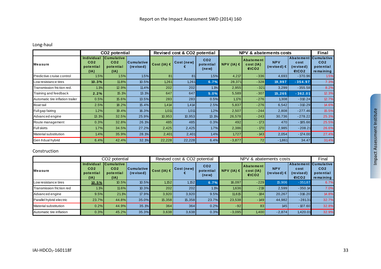# Long‐haul

|                                  |                                                    | CO <sub>2</sub> potential                                 |                          |                 | Revised cost & CO2 potential |                                       |                | <b>NPV &amp; abatements costs</b> |                                    |                                                 |                                                                |
|----------------------------------|----------------------------------------------------|-----------------------------------------------------------|--------------------------|-----------------|------------------------------|---------------------------------------|----------------|-----------------------------------|------------------------------------|-------------------------------------------------|----------------------------------------------------------------|
| Measure                          | Individual<br>CO <sub>2</sub><br>potential<br>(IA) | <b>Cumulative</b><br>CO <sub>2</sub><br>potential<br>(IA) | Cumulative <br>(revised) | Cost (IA) $\in$ | Cost (new)                   | CO <sub>2</sub><br>potential<br>(new) | NPV (IA) $\in$ | Abatement<br>cost(IA)<br>ECO2     | <b>NPV</b><br>(revised) $\epsilon$ | <b>Abatement</b><br>cost<br>(re vise d)<br>ECO2 | <b>Cumulative</b><br>CO <sub>2</sub><br>potential<br>remaining |
| Predictive cruise control        | 1.5%                                               | 1.5%                                                      | 1.5%                     | 81              | 81                           | 1.5%                                  | 4,217          | $-336$                            | 4,693                              | $-370.96$                                       | 1.5%                                                           |
| ow resistance tires.             | 10.3%                                              | 11.8%                                                     | 10.5%                    | 1,261           | 1,261                        | 6.7%                                  | 28,371         | $-328$                            | 19,997                             | $-354.97$                                       | 7.3%                                                           |
| Transmission friction red.       | 1.1%                                               | 12.9%                                                     | 11.4%                    | 202             | 202                          | 1.1%                                  | 2,955          | $-321$                            | 3,299                              | $-355.58$                                       | 8.2%                                                           |
| Training and feedback            | 2.2%                                               | 15.1%                                                     | 13.1%                    | 647             | 647                          | 5.0%                                  | 5,589          | $-307$                            | 15,265                             | $-362.01$                                       | 12.3%                                                          |
| Automatic tire inflation trailer | 0.5%                                               | 15.6%                                                     | 13.5%                    | 283             | 283                          | 0.5%                                  | 1,176          | $-276$                            | 1,308                              | $-310.24$                                       | 12.7%                                                          |
| Boat tail                        | 2.5%                                               | 18.2%                                                     | 15.4%                    | 1,414           | 1,414                        | 2.5%                                  | 5,837          | $-276$                            | 6,542                              | $-310.29$                                       | 14.6%                                                          |
| Full gap fairing                 | 1.2%                                               | 19.4%                                                     | 16.3%                    | 1,011           | 1,011                        | 1.2%                                  | 2,507          | $-244$                            | 2,808                              | $-277.46$                                       | 15.5%                                                          |
| Advanced engine                  | 13.1%                                              | 32.5%                                                     | 25.9%                    | 10,953          | 10,953                       | 13.1%                                 | 26,578         | $-243$                            | 30,736                             | $-278.22$                                       | 25.3%                                                          |
| Route management                 | 0.3%                                               | 32.8%                                                     | 26.1%                    | 485             | 485                          | 0.3%                                  | 492            | $-173$                            | 470                                | $-185.66$                                       | 25.5%                                                          |
| <b>Full skirts</b>               | 1.7%                                               | 34.5%                                                     | 27.2%                    | 2,425           | 2,425                        | 1.7%                                  | 2,386          | $-170$                            | 2,985                              | $-208.21$                                       | 26.6%                                                          |
| Material substitution            | 1.4%                                               | 35.9%                                                     | 28.1%                    | 2,401           | 2,401                        | 1.4%                                  | 1,727          | $-143$                            | 2,054                              | $-174.00$                                       | 27.4%                                                          |
| Gen II dual hybrid               | 6.4%                                               | 42.4%                                                     | 32.1%                    | 22,228          | 22,228                       | 6.4%                                  | $-3,877$       | 72                                | $-1,861$                           | 34.47                                           | 31.4%                                                          |

#### Construction

|                           |                                                    | CO <sub>2</sub> potential                                 |                           | Revised cost & CO2 potential |            |                                       | NPV & abatements costs |                               |                               |                                               | Final                                                          |
|---------------------------|----------------------------------------------------|-----------------------------------------------------------|---------------------------|------------------------------|------------|---------------------------------------|------------------------|-------------------------------|-------------------------------|-----------------------------------------------|----------------------------------------------------------------|
| Measure                   | Individual<br>CO <sub>2</sub><br>potential<br>(IA) | <b>Cumulative</b><br>CO <sub>2</sub><br>potential<br>(IA) | Cumulative  <br>(revised) | Cost (IA) $\in$              | Cost (new) | CO <sub>2</sub><br>potential<br>(new) | $NPV (IA) \in$         | Abatement<br>cost(IA)<br>ECO2 | <b>NPV</b><br>(revised) $\in$ | <b>Abatement</b><br>cost<br>(revised)<br>ECO2 | <b>Cumulative</b><br>CO <sub>2</sub><br>potential<br>remaining |
| Low resistance tires      | 10.5%                                              | 10.5%                                                     | 10.5%                     | 1,152                        | 1,152      | 6.7%                                  | 16,097                 | $-229$                        | 15.906                        | $-351.87$                                     | 6.7%                                                           |
| Transmission friction red | 1.1%                                               | 11.6%                                                     | 10.3%                     | 202                          | 202        | 1.1%                                  | 1,636                  | $-219$                        | 2.599                         | $-350.14$                                     | 7.0%                                                           |
| Advanced engine           | 9.5%                                               | 21.1%                                                     | 17.9%                     | 3,920                        | 3,920      | 9.5%                                  | 11,615                 | $-184$                        | 20,267                        | $-316.20$                                     | 14.8%                                                          |
| Parallel hybrid electric  | 23.7%                                              | 44.8%                                                     | 35.0%                     | 15,358                       | 15,358     | 23.7%                                 | 23,538                 | $-149$                        | 44,982                        | $-281.31$                                     | 32.7%                                                          |
| Material substitution     | 0.2%                                               | 44.9%                                                     | 35.1%                     | 364                          | 364        | 0.2%                                  | $-92$                  | 83                            | 145                           | $-107.60$                                     | 32.8%                                                          |
| Automatic tire inflation  | 0.3%                                               | 45.2%                                                     | 35.3%                     | 3,638                        | 3,638      | 0.3%                                  | $-3,095$               | 1,400                         | $-2,874$                      | 1,420.01                                      | 32.9%                                                          |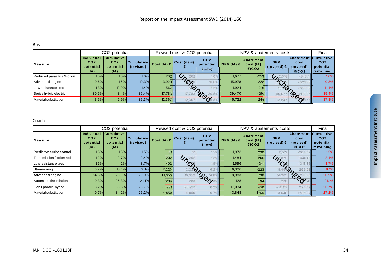#### Bus

|                              | CO <sub>2</sub> potential                          |                                                           |                                | Revised cost & CO2 potential |                             |                                       | NPV & abatements costs |                               |                               |                                                   | Final                                     |
|------------------------------|----------------------------------------------------|-----------------------------------------------------------|--------------------------------|------------------------------|-----------------------------|---------------------------------------|------------------------|-------------------------------|-------------------------------|---------------------------------------------------|-------------------------------------------|
| <b>Measure</b>               | Individual<br>CO <sub>2</sub><br>potential<br>(IA) | <b>Cumulative</b><br>CO <sub>2</sub><br>potential<br>(IA) | <b>Cumulative</b><br>(revised) | Cost (IA) $\in$              | Cost (new)                  | CO <sub>2</sub><br>potential<br>(new) | $NPV (IA) \in$         | Abatement<br>cost(IA)<br>ECO2 | <b>NPV</b><br>(revised) $\in$ | Abatement Cumulative<br>cost<br>(revised)<br>fCO2 | CO <sub>2</sub><br>potential<br>remaining |
| Reduced parasitics/friction  | 1.0%                                               | 1.0%                                                      | 1.0%                           | 202                          |                             |                                       | 1.677                  | $-253$                        | $\mathcal{G}_\mathcal{D}$     | $-347.$                                           | 1.0%                                      |
| Advanced engine              | $10.6\%$                                           | 11.6%                                                     | 10.3%                          | 3,920                        |                             | 10.6 <sup>o</sup>                     | 15.978                 | $-228$                        | 7.19                          | $-321.98$                                         | 10.3%                                     |
| Low resistance tires         | 1.3%                                               | 12.9%                                                     | 11.4%                          | 567                          | $\mathcal{Q}_{\mathcal{F}}$ |                                       | 1,924                  | $-219$                        | $\infty$                      | $-312.05$                                         | 11.4%                                     |
| Series hybrid electric       | 30.5%                                              | 43.4%                                                     | 35.4%                          | 17,783                       | 17.78.                      | <b>PO</b><br>30.5                     | 39,470                 | $-196$                        | 59.0                          | $\mathcal{L}$<br>$\sigma_Q$                       | 35.4%                                     |
| <b>Material substitution</b> | 3.5%                                               | 46.9%                                                     | 37.3%                          | 12,367                       | 12,367                      | $\infty$                              | $-5,722$               | 244                           | $-3,547$                      |                                                   | 37.3%                                     |

#### Coach

|                           | CO2 potential                                      |                                                           |                         |                 | Revised cost & CO2 potential |                                       |                | NPV & abatements costs        |                               |                                          |                                                                   |
|---------------------------|----------------------------------------------------|-----------------------------------------------------------|-------------------------|-----------------|------------------------------|---------------------------------------|----------------|-------------------------------|-------------------------------|------------------------------------------|-------------------------------------------------------------------|
| <b>Measure</b>            | Individual<br>CO <sub>2</sub><br>potential<br>(IA) | <b>Cumulative</b><br>CO <sub>2</sub><br>potential<br>(IA) | Cumulative<br>(revised) | Cost (IA) $\in$ | Cost (new)                   | CO <sub>2</sub><br>potential<br>(new) | NPV (IA) $\in$ | Abatement<br>cost(IA)<br>ECO2 | <b>NPV</b><br>(revised) $\in$ | cost<br>(revised)<br>ECO2                | Abatement Cumulative<br>CO <sub>2</sub><br>potential<br>remaining |
| Predictive cruise control | 1.5%                                               | 1.5%                                                      | 1.5%                    | 81              |                              | $1.5^{\circ}$                         | 1,973          | $-290$                        | 2.512                         | $-365.57$                                | 1.5%                                                              |
| Transmission friction red | 1.2%                                               | 2.7%                                                      | 2.4%                    | 202             |                              |                                       | 1,484          | $-266$                        | $4A^{87}$                     | $-340.6'$                                | 2.4%                                                              |
| Low resistance tires      | 1.5%                                               | 4.2%                                                      | 3.7%                    | 402             | Unch                         | $1.5^{\circ}$                         | 1,596          | $-241$                        | $\sim$                        | $-318.85$                                | 3.7%                                                              |
| Streamlining              | 6.2%                                               | 10.4%                                                     | 9.1%                    | 2,223           |                              | $\phi$<br>6.2                         | 6,306          | $-223$                        |                               | $\mathcal{P}_{\mathcal{A}}$<br>$-299.08$ | 9.1%                                                              |
| Advanced engine           | 14.6%                                              | 25.0%                                                     | 20.9%                   | 10.953          | 10,953                       | TOPOL                                 | 8,983          | $-136$                        | 14,283                        | <b>SOCU</b>                              | 20.9%                                                             |
| Automatic tire inflation  | 0.3%                                               | 25.3%                                                     | 21.1%                   | 283             | 283                          |                                       | 128            | $-94$                         | 236                           |                                          | 21.1%                                                             |
| Gen II parallel hybrid    | 8.2%                                               | 33.5%                                                     | 26.7%                   | 28,291          | 28,291                       | 8.2 <sup>°</sup>                      | $-17,034$      | 456                           | $-14,117$                     | 375.87                                   | 26.7%                                                             |
| Material substitution     | 0.7%                                               | 34.2%                                                     | 27.2%                   | 4,850           | 4,850                        | 0.7                                   | $-3,848$       | 1,159                         | $-3,640$                      | 1, 135.27                                | 27.2%                                                             |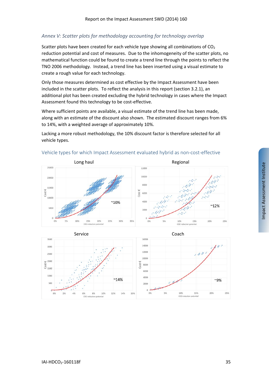# *Annex V: Scatter plots for methodology accounting for technology overlap*

Scatter plots have been created for each vehicle type showing all combinations of CO<sub>2</sub> reduction potential and cost of measures. Due to the inhomogeneity of the scatter plots, no mathematical function could be found to create a trend line through the points to reflect the TNO 2006 methodology. Instead, a trend line has been inserted using a visual estimate to create a rough value for each technology.

Only those measures determined as cost effective by the Impact Assessment have been included in the scatter plots. To reflect the analysis in this report (section 3.2.1), an additional plot has been created excluding the hybrid technology in cases where the Impact Assessment found this technology to be cost-effective.

Where sufficient points are available, a visual estimate of the trend line has been made, along with an estimate of the discount also shown. The estimated discount ranges from 6% to 14%, with a weighted average of approximately 10%.

Lacking a more robust methodology, the 10% discount factor is therefore selected for all vehicle types.



### Vehicle types for which Impact Assessment evaluated hybrid as non‐cost‐effective

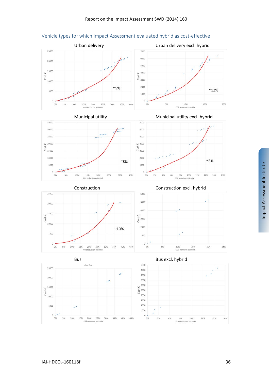

# Vehicle types for which Impact Assessment evaluated hybrid as cost‐effective









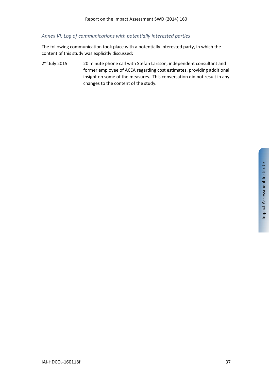# *Annex VI: Log of communications with potentially interested parties*

The following communication took place with a potentially interested party, in which the content of this study was explicitly discussed:

2<sup>nd</sup> July 2015 20 minute phone call with Stefan Larsson, independent consultant and former employee of ACEA regarding cost estimates, providing additional insight on some of the measures. This conversation did not result in any changes to the content of the study.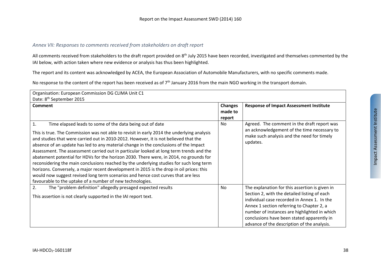# *Annex VII: Responses to comments received from stakeholders on draft report*

All comments received from stakeholders to the draft report provided on 8<sup>th</sup> July 2015 have been recorded, investigated and themselves commented by the IAI below, with action taken where new evidence or analysis has thus been highlighted.

The report and its content was acknowledged by ACEA, the European Association of Automobile Manufacturers, with no specific comments made.

No response to the content of the report has been received as of 7<sup>th</sup> January 2016 from the main NGO working in the transport domain.

| Organisation: European Commission DG CLIMA Unit C1                                                                                                                                                                                                                                                                                                                                                                                                                                                                                                                                                                                                                                                                                                                                                                                                                                     |                                     |                                                                                                                                                                                                                                                                                                                                         |
|----------------------------------------------------------------------------------------------------------------------------------------------------------------------------------------------------------------------------------------------------------------------------------------------------------------------------------------------------------------------------------------------------------------------------------------------------------------------------------------------------------------------------------------------------------------------------------------------------------------------------------------------------------------------------------------------------------------------------------------------------------------------------------------------------------------------------------------------------------------------------------------|-------------------------------------|-----------------------------------------------------------------------------------------------------------------------------------------------------------------------------------------------------------------------------------------------------------------------------------------------------------------------------------------|
| Date: 8 <sup>th</sup> September 2015                                                                                                                                                                                                                                                                                                                                                                                                                                                                                                                                                                                                                                                                                                                                                                                                                                                   |                                     |                                                                                                                                                                                                                                                                                                                                         |
| <b>Comment</b>                                                                                                                                                                                                                                                                                                                                                                                                                                                                                                                                                                                                                                                                                                                                                                                                                                                                         | <b>Changes</b><br>made to<br>report | <b>Response of Impact Assessment Institute</b>                                                                                                                                                                                                                                                                                          |
| $\mathbf{1}$ .<br>Time elapsed leads to some of the data being out of date<br>This is true. The Commission was not able to revisit in early 2014 the underlying analysis<br>and studies that were carried out in 2010-2012. However, it is not believed that the<br>absence of an update has led to any material change in the conclusions of the Impact<br>Assessment. The assessment carried out in particular looked at long term trends and the<br>abatement potential for HDVs for the horizon 2030. There were, in 2014, no grounds for<br>reconsidering the main conclusions reached by the underlying studies for such long term<br>horizons. Conversely, a major recent development in 2015 is the drop in oil prices: this<br>would now suggest revised long term scenarios and hence cost curves that are less<br>favourable to the uptake of a number of new technologies. | No                                  | Agreed. The comment in the draft report was<br>an acknowledgement of the time necessary to<br>make such analysis and the need for timely<br>updates.                                                                                                                                                                                    |
| The "problem definition" allegedly presaged expected results<br>2.<br>This assertion is not clearly supported in the IAI report text.                                                                                                                                                                                                                                                                                                                                                                                                                                                                                                                                                                                                                                                                                                                                                  | N <sub>o</sub>                      | The explanation for this assertion is given in<br>Section 2, with the detailed listing of each<br>individual case recorded in Annex 1. In the<br>Annex 1 section referring to Chapter 2, a<br>number of instances are highlighted in which<br>conclusions have been stated apparently in<br>advance of the description of the analysis. |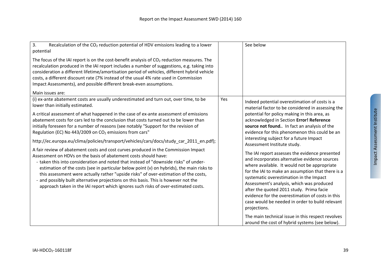| 3.<br>Recalculation of the CO <sub>2</sub> reduction potential of HDV emissions leading to a lower<br>potential                                                                                                                                                                                                                                                                                                                                                                                                                                                                                                 |     | See below                                                                                                                                                                                                                                                                                                                                                                                                                                                       |
|-----------------------------------------------------------------------------------------------------------------------------------------------------------------------------------------------------------------------------------------------------------------------------------------------------------------------------------------------------------------------------------------------------------------------------------------------------------------------------------------------------------------------------------------------------------------------------------------------------------------|-----|-----------------------------------------------------------------------------------------------------------------------------------------------------------------------------------------------------------------------------------------------------------------------------------------------------------------------------------------------------------------------------------------------------------------------------------------------------------------|
| The focus of the IAI report is on the cost-benefit analysis of CO <sub>2</sub> reduction measures. The<br>recalculation produced in the IAI report includes a number of suggestions, e.g. taking into<br>consideration a different lifetime/amortisation period of vehicles, different hybrid vehicle<br>costs, a different discount rate (7% instead of the usual 4% rate used in Commission<br>Impact Assessments), and possible different break-even assumptions.                                                                                                                                            |     |                                                                                                                                                                                                                                                                                                                                                                                                                                                                 |
| Main issues are:                                                                                                                                                                                                                                                                                                                                                                                                                                                                                                                                                                                                |     |                                                                                                                                                                                                                                                                                                                                                                                                                                                                 |
| (i) ex-ante abatement costs are usually underestimated and turn out, over time, to be<br>lower than initially estimated.                                                                                                                                                                                                                                                                                                                                                                                                                                                                                        | Yes | Indeed potential overestimation of costs is a<br>material factor to be considered in assessing the                                                                                                                                                                                                                                                                                                                                                              |
| A critical assessment of what happened in the case of ex-ante assessment of emissions<br>abatement costs for cars led to the conclusion that costs turned out to be lower than<br>initially foreseen for a number of reasons (see notably "Support for the revision of<br>Regulation (EC) No 443/2009 on CO <sub>2</sub> emissions from cars"                                                                                                                                                                                                                                                                   |     | potential for policy making in this area, as<br>acknowledged in Section Error! Reference<br>source not found. In fact an analysis of the<br>evidence for this phenomenon this could be an                                                                                                                                                                                                                                                                       |
| http://ec.europa.eu/clima/policies/transport/vehicles/cars/docs/study_car_2011_en.pdf);                                                                                                                                                                                                                                                                                                                                                                                                                                                                                                                         |     | interesting subject for a future Impact<br>Assessment Institute study.                                                                                                                                                                                                                                                                                                                                                                                          |
| A fair review of abatement costs and cost curves produced in the Commission Impact<br>Assessment on HDVs on the basis of abatement costs should have:<br>- taken this into consideration and noted that instead of "downside risks" of under-<br>estimation of the costs (see in particular below point (v) on hybrids), the main risks to<br>this assessment were actually rather "upside risks" of over-estimation of the costs,<br>- and possibly built alternative projections on this basis. This is however not the<br>approach taken in the IAI report which ignores such risks of over-estimated costs. |     | The IAI report assesses the evidence presented<br>and incorporates alternative evidence sources<br>where available. It would not be appropriate<br>for the IAI to make an assumption that there is a<br>systematic overestimation in the Impact<br>Assessment's analysis, which was produced<br>after the quoted 2011 study. Prima facie<br>evidence for the overestimation of costs in this<br>case would be needed in order to build relevant<br>projections. |
|                                                                                                                                                                                                                                                                                                                                                                                                                                                                                                                                                                                                                 |     | The main technical issue in this respect revolves<br>around the cost of hybrid systems (see below).                                                                                                                                                                                                                                                                                                                                                             |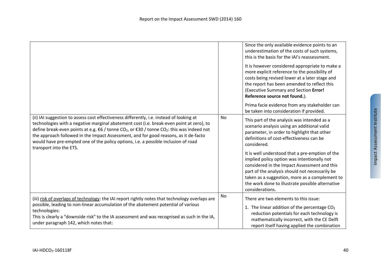|                                                                                                                                                                                                                                                                                                                                                                                                                                                                                                                         |    | Since the only available evidence points to an<br>underestimation of the costs of such systems,<br>this is the basis for the IAI's reassessment.<br>It is however considered appropriate to make a<br>more explicit reference to the possibility of<br>costs being revised lower at a later stage and                     |
|-------------------------------------------------------------------------------------------------------------------------------------------------------------------------------------------------------------------------------------------------------------------------------------------------------------------------------------------------------------------------------------------------------------------------------------------------------------------------------------------------------------------------|----|---------------------------------------------------------------------------------------------------------------------------------------------------------------------------------------------------------------------------------------------------------------------------------------------------------------------------|
|                                                                                                                                                                                                                                                                                                                                                                                                                                                                                                                         |    | the report has been amended to reflect this<br>(Executive Summary and Section Error!<br>Reference source not found.).                                                                                                                                                                                                     |
|                                                                                                                                                                                                                                                                                                                                                                                                                                                                                                                         |    | Prima facie evidence from any stakeholder can<br>be taken into consideration if provided.                                                                                                                                                                                                                                 |
| (ii) IAI suggestion to assess cost effectiveness differently, i.e. instead of looking at<br>technologies with a negative marginal abatement cost (i.e. break-even point at zero), to<br>define break-even points at e.g. $€6$ / tonne CO <sub>2</sub> , or $€30$ / tonne CO <sub>2</sub> : this was indeed not<br>the approach followed in the Impact Assessment, and for good reasons, as it de-facto<br>would have pre-empted one of the policy options, i.e. a possible inclusion of road<br>transport into the ETS. | No | This part of the analysis was intended as a<br>scenario analysis using an additional valid<br>parameter, in order to highlight that other<br>definitions of cost-effectiveness can be<br>considered.                                                                                                                      |
|                                                                                                                                                                                                                                                                                                                                                                                                                                                                                                                         |    | It is well understood that a pre-emption of the<br>implied policy option was intentionally not<br>considered in the Impact Assessment and this<br>part of the analysis should not necessarily be<br>taken as a suggestion, more as a complement to<br>the work done to illustrate possible alternative<br>considerations. |
| (iii) risk of overlaps of technology: the IAI report rightly notes that technology overlaps are<br>possible, leading to non-linear accumulation of the abatement potential of various<br>technologies:<br>This is clearly a "downside risk" to the IA assessment and was recognised as such in the IA,<br>under paragraph 142, which notes that:                                                                                                                                                                        | No | There are two elements to this issue:<br>1. The linear addition of the percentage $CO2$<br>reduction potentials for each technology is<br>mathematically incorrect, with the CE Delft<br>report itself having applied the combination                                                                                     |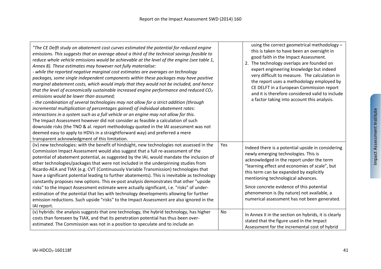| "The CE Delft study on abatement cost curves estimated the potential for reduced engine<br>emissions. This suggests that on average about a third of the technical savings feasible to<br>reduce whole vehicle emissions would be achievable at the level of the engine (see table 1,<br>Annex 8). These estimates may however not fully materialise:<br>- while the reported negative marginal cost estimates are averages on technology<br>packages, some single independent components within these packages may have positive<br>marginal abatement costs, which would imply that they would not be included, and hence<br>that the level of economically sustainable increased engine performance and reduced $CO2$<br>emissions would be lower than assumed;<br>- the combination of several technologies may not allow for a strict addition (through<br>incremental multiplication of percentages gained) of individual abatement rates:<br>interactions in a system such as a full vehicle or an engine may not allow for this.<br>The Impact Assessment however did not consider as feasible a calculation of such<br>downside risks (the TNO & al. report methodology quoted in the IAI assessment was not<br>deemed easy to apply to HDVs in a straightforward way) and preferred a mere<br>transparent acknowledgment of this limitation. | using the correct geometrical methodology -<br>this is taken to have been an oversight in<br>good faith in the Impact Assessment.<br>2. The technology overlaps are founded on<br>expert engineering knowledge but indeed<br>very difficult to measure. The calculation in<br>the report uses a methodology employed by<br>CE DELFT in a European Commission report<br>and it is therefore considered valid to include<br>a factor taking into account this analysis. |
|--------------------------------------------------------------------------------------------------------------------------------------------------------------------------------------------------------------------------------------------------------------------------------------------------------------------------------------------------------------------------------------------------------------------------------------------------------------------------------------------------------------------------------------------------------------------------------------------------------------------------------------------------------------------------------------------------------------------------------------------------------------------------------------------------------------------------------------------------------------------------------------------------------------------------------------------------------------------------------------------------------------------------------------------------------------------------------------------------------------------------------------------------------------------------------------------------------------------------------------------------------------------------------------------------------------------------------------------------------|-----------------------------------------------------------------------------------------------------------------------------------------------------------------------------------------------------------------------------------------------------------------------------------------------------------------------------------------------------------------------------------------------------------------------------------------------------------------------|
| (iv) new technologies: with the benefit of hindsight, new technologies not assessed in the<br>Commission Impact Assessment would also suggest that a full re-assessment of the<br>potential of abatement potential, as suggested by the IAI, would mandate the inclusion of<br>other technologies/packages that were not included in the underpinning studies from<br>Ricardo-AEA and TIAX (e.g. CVT (Continuously Variable Transmission) technologies that<br>have a significant potential leading to further abatements). This is inevitable as technology<br>constantly proposes new options. This ex-post analysis demonstrates that other "upside<br>risks" to the Impact Assessment estimate were actually significant, i.e. "risks" of under-<br>estimation of the potential that lies with technology developments allowing for further<br>emission reductions. Such upside "risks" to the Impact Assessment are also ignored in the<br>IAI report.                                                                                                                                                                                                                                                                                                                                                                                            | Yes<br>Indeed there is a potential upside in considering<br>newly emerging technologies. This is<br>acknowledged in the report under the term<br>"learning effect and economies of scale", but<br>this term can be expanded by explicitly<br>mentioning technological advances.<br>Since concrete evidence of this potential<br>phenomenon is (by nature) not available, a<br>numerical assessment has not been generated.                                            |
| (v) hybrids: the analysis suggests that one technology, the hybrid technology, has higher<br>costs than foreseen by TIAX, and that its penetration potential has thus been over-<br>estimated. The Commission was not in a position to speculate and to include an                                                                                                                                                                                                                                                                                                                                                                                                                                                                                                                                                                                                                                                                                                                                                                                                                                                                                                                                                                                                                                                                                     | No<br>In Annex II in the section on hybrids, it is clearly<br>stated that the figure used in the Impact<br>Assessment for the incremental cost of hybrid                                                                                                                                                                                                                                                                                                              |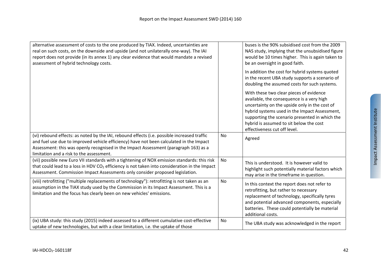| alternative assessment of costs to the one produced by TIAX. Indeed, uncertainties are<br>real on such costs, on the downside and upside (and not unilaterally one-way). The IAI<br>report does not provide (in its annex 1) any clear evidence that would mandate a revised<br>assessment of hybrid technology costs.     |           | buses is the 90% subsidised cost from the 2009<br>NAS study, implying that the unsubsidised figure<br>would be 10 times higher. This is again taken to<br>be an oversight in good faith.                                                                                                                            |
|----------------------------------------------------------------------------------------------------------------------------------------------------------------------------------------------------------------------------------------------------------------------------------------------------------------------------|-----------|---------------------------------------------------------------------------------------------------------------------------------------------------------------------------------------------------------------------------------------------------------------------------------------------------------------------|
|                                                                                                                                                                                                                                                                                                                            |           | In addition the cost for hybrid systems quoted<br>in the recent UBA study supports a scenario of<br>doubling the assumed costs for such systems.                                                                                                                                                                    |
|                                                                                                                                                                                                                                                                                                                            |           | With these two clear pieces of evidence<br>available, the consequence is a very high<br>uncertainty on the upside only in the cost of<br>hybrid systems used in the Impact Assessment,<br>supporting the scenario presented in which the<br>hybrid is assumed to sit below the cost<br>effectiveness cut off level. |
| (vi) rebound effects: as noted by the IAI, rebound effects (i.e. possible increased traffic<br>and fuel use due to improved vehicle efficiency) have not been calculated in the Impact<br>Assessment: this was openly recognised in the Impact Assessment (paragraph 163) as a<br>limitation and a risk to the assessment. | <b>No</b> | Agreed                                                                                                                                                                                                                                                                                                              |
| (vii) possible new Euro VII standards with a tightening of NOX emission standards: this risk<br>that could lead to a loss in HDV CO <sub>2</sub> efficiency is not taken into consideration in the Impact<br>Assessment. Commission Impact Assessments only consider proposed legislation.                                 | No        | This is understood. It is however valid to<br>highlight such potentially material factors which<br>may arise in the timeframe in question.                                                                                                                                                                          |
| (viii) retrofitting ("multiple replacements of technology"): retrofitting is not taken as an<br>assumption in the TIAX study used by the Commission in its Impact Assessment. This is a<br>limitation and the focus has clearly been on new vehicles' emissions.                                                           | <b>No</b> | In this context the report does not refer to<br>retrofitting, but rather to necessary<br>replacement of technology, specifically tyres<br>and potential advanced components, especially<br>batteries. These could potentially be material<br>additional costs.                                                      |
| (ix) UBA study: this study (2015) indeed assessed to a different cumulative cost-effective<br>uptake of new technologies, but with a clear limitation, i.e. the uptake of those                                                                                                                                            | No        | The UBA study was acknowledged in the report                                                                                                                                                                                                                                                                        |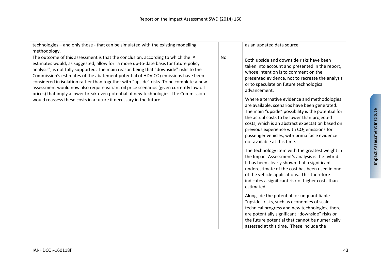| technologies - and only those - that can be simulated with the existing modelling<br>methodology.                                                                                                                                                                                                                                                                                                                                                                                                                                                                                                                                                                                                                  |           | as an updated data source.                                                                                                                                                                                                                                                                                                                                                                                                                                                                                                                                                                                                                                                                                                                                                                                                                                                                                                                                                       |
|--------------------------------------------------------------------------------------------------------------------------------------------------------------------------------------------------------------------------------------------------------------------------------------------------------------------------------------------------------------------------------------------------------------------------------------------------------------------------------------------------------------------------------------------------------------------------------------------------------------------------------------------------------------------------------------------------------------------|-----------|----------------------------------------------------------------------------------------------------------------------------------------------------------------------------------------------------------------------------------------------------------------------------------------------------------------------------------------------------------------------------------------------------------------------------------------------------------------------------------------------------------------------------------------------------------------------------------------------------------------------------------------------------------------------------------------------------------------------------------------------------------------------------------------------------------------------------------------------------------------------------------------------------------------------------------------------------------------------------------|
| The outcome of this assessment is that the conclusion, according to which the IAI<br>estimates would, as suggested, allow for "a more up-to-date basis for future policy<br>analysis", is not fully supported. The main reason being that "downside" risks to the<br>Commission's estimates of the abatement potential of HDV CO <sub>2</sub> emissions have been<br>considered in isolation rather than together with "upside" risks. To be complete a new<br>assessment would now also require variant oil price scenarios (given currently low oil<br>prices) that imply a lower break-even potential of new technologies. The Commission<br>would reassess these costs in a future if necessary in the future. | <b>No</b> | Both upside and downside risks have been<br>taken into account and presented in the report,<br>whose intention is to comment on the<br>presented evidence, not to recreate the analysis<br>or to speculate on future technological<br>advancement.<br>Where alternative evidence and methodologies<br>are available, scenarios have been generated.<br>The main "upside" possibility is the potential for<br>the actual costs to be lower than projected<br>costs, which is an abstract expectation based on<br>previous experience with CO <sub>2</sub> emissions for<br>passenger vehicles, with prima facie evidence<br>not available at this time.<br>The technology item with the greatest weight in<br>the Impact Assessment's analysis is the hybrid.<br>It has been clearly shown that a significant<br>underestimate of the cost has been used in one<br>of the vehicle applications. This therefore<br>indicates a significant risk of higher costs than<br>estimated. |
|                                                                                                                                                                                                                                                                                                                                                                                                                                                                                                                                                                                                                                                                                                                    |           | Alongside the potential for unquantifiable<br>"upside" risks, such as economies of scale,<br>technical progress and new technologies, there<br>are potentially significant "downside" risks on<br>the future potential that cannot be numerically<br>assessed at this time. These include the                                                                                                                                                                                                                                                                                                                                                                                                                                                                                                                                                                                                                                                                                    |